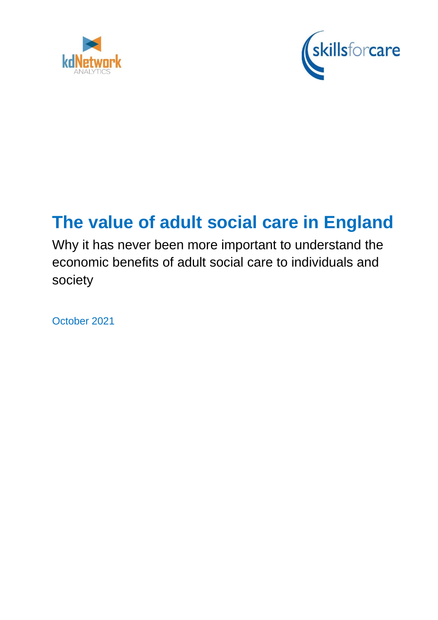



# **The value of adult social care in England**

Why it has never been more important to understand the economic benefits of adult social care to individuals and society

October 2021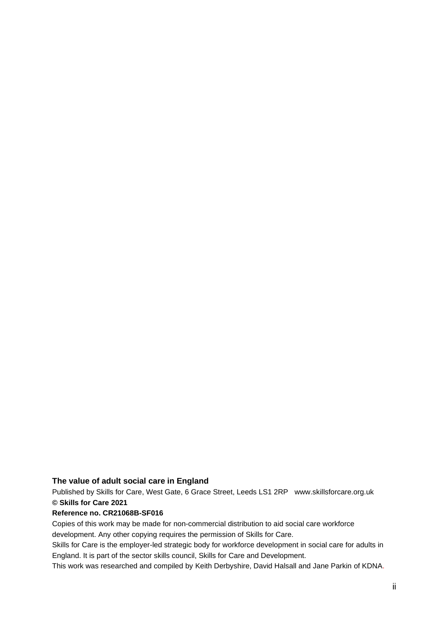#### **The value of adult social care in England**

Published by Skills for Care, West Gate, 6 Grace Street, Leeds LS1 2RP www.skillsforcare.org.uk **© Skills for Care 2021**

#### **Reference no. CR21068B-SF016**

Copies of this work may be made for non-commercial distribution to aid social care workforce development. Any other copying requires the permission of Skills for Care.

Skills for Care is the employer-led strategic body for workforce development in social care for adults in England. It is part of the sector skills council, Skills for Care and Development.

This work was researched and compiled by Keith Derbyshire, David Halsall and Jane Parkin of KDNA.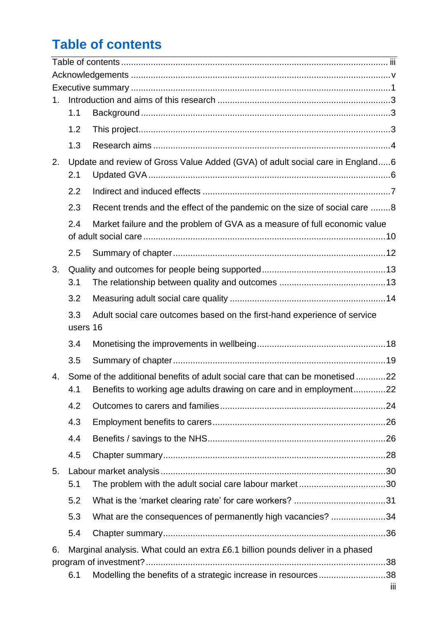## <span id="page-2-0"></span>**Table of contents**

| 1. | 1.1             |                                                                                |  |
|----|-----------------|--------------------------------------------------------------------------------|--|
|    |                 |                                                                                |  |
|    | 1.2             |                                                                                |  |
|    | 1.3             |                                                                                |  |
| 2. | 2.1             | Update and review of Gross Value Added (GVA) of adult social care in England6  |  |
|    | 2.2             |                                                                                |  |
|    | 2.3             | Recent trends and the effect of the pandemic on the size of social care 8      |  |
|    | 2.4             | Market failure and the problem of GVA as a measure of full economic value      |  |
|    | 2.5             |                                                                                |  |
| 3. |                 |                                                                                |  |
|    | 3.1             |                                                                                |  |
|    | 3.2             |                                                                                |  |
|    | 3.3<br>users 16 | Adult social care outcomes based on the first-hand experience of service       |  |
|    | 3.4             |                                                                                |  |
|    | 3.5             |                                                                                |  |
| 4. |                 | Some of the additional benefits of adult social care that can be monetised22   |  |
|    | 4.1             | Benefits to working age adults drawing on care and in employment22             |  |
|    | 4.2             |                                                                                |  |
|    | 4.3             |                                                                                |  |
|    | 4.4             |                                                                                |  |
|    | 4.5             |                                                                                |  |
| 5. |                 |                                                                                |  |
|    | 5.1             |                                                                                |  |
|    | 5.2             |                                                                                |  |
|    | 5.3             | What are the consequences of permanently high vacancies? 34                    |  |
|    | 5.4             |                                                                                |  |
| 6. |                 | Marginal analysis. What could an extra £6.1 billion pounds deliver in a phased |  |
|    |                 |                                                                                |  |
|    |                 | Modelling the benefits of a strategic increase in resources38                  |  |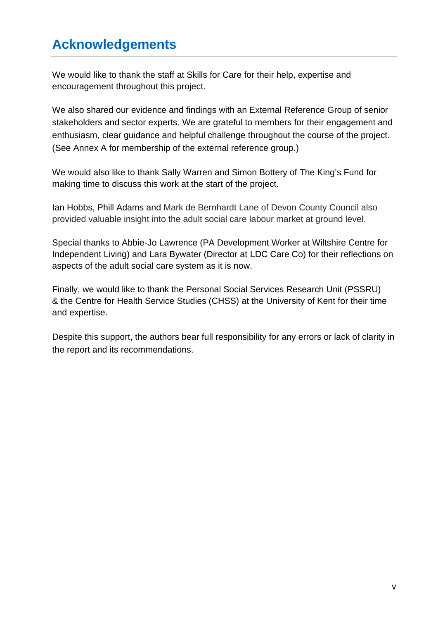## <span id="page-4-0"></span>**Acknowledgements**

We would like to thank the staff at Skills for Care for their help, expertise and encouragement throughout this project.

We also shared our evidence and findings with an External Reference Group of senior stakeholders and sector experts. We are grateful to members for their engagement and enthusiasm, clear guidance and helpful challenge throughout the course of the project. (See Annex A for membership of the external reference group.)

We would also like to thank Sally Warren and Simon Bottery of The King's Fund for making time to discuss this work at the start of the project.

Ian Hobbs, Phill Adams and Mark de Bernhardt Lane of Devon County Council also provided valuable insight into the adult social care labour market at ground level.

Special thanks to Abbie-Jo Lawrence (PA Development Worker at Wiltshire Centre for Independent Living) and Lara Bywater (Director at LDC Care Co) for their reflections on aspects of the adult social care system as it is now.

Finally, we would like to thank the Personal Social Services Research Unit (PSSRU) & the Centre for Health Service Studies (CHSS) at the University of Kent for their time and expertise.

Despite this support, the authors bear full responsibility for any errors or lack of clarity in the report and its recommendations.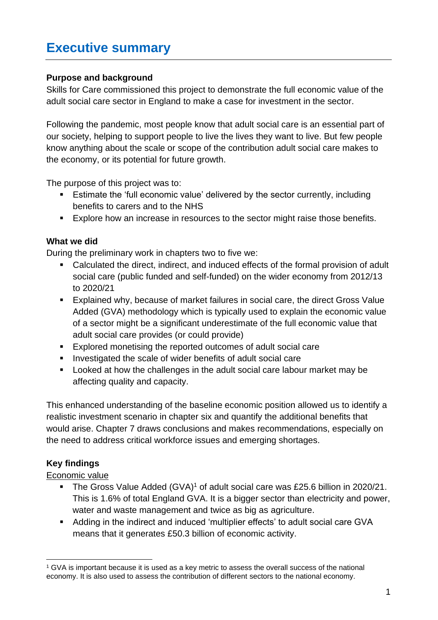## <span id="page-5-0"></span>**Executive summary**

#### **Purpose and background**

Skills for Care commissioned this project to demonstrate the full economic value of the adult social care sector in England to make a case for investment in the sector.

Following the pandemic, most people know that adult social care is an essential part of our society, helping to support people to live the lives they want to live. But few people know anything about the scale or scope of the contribution adult social care makes to the economy, or its potential for future growth.

The purpose of this project was to:

- Estimate the 'full economic value' delivered by the sector currently, including benefits to carers and to the NHS
- Explore how an increase in resources to the sector might raise those benefits.

#### **What we did**

During the preliminary work in chapters two to five we:

- Calculated the direct, indirect, and induced effects of the formal provision of adult social care (public funded and self-funded) on the wider economy from 2012/13 to 2020/21
- Explained why, because of market failures in social care, the direct Gross Value Added (GVA) methodology which is typically used to explain the economic value of a sector might be a significant underestimate of the full economic value that adult social care provides (or could provide)
- Explored monetising the reported outcomes of adult social care
- Investigated the scale of wider benefits of adult social care
- Looked at how the challenges in the adult social care labour market may be affecting quality and capacity.

This enhanced understanding of the baseline economic position allowed us to identify a realistic investment scenario in chapter six and quantify the additional benefits that would arise. Chapter 7 draws conclusions and makes recommendations, especially on the need to address critical workforce issues and emerging shortages.

### **Key findings**

#### Economic value

- **The Gross Value Added (GVA)<sup>1</sup> of adult social care was £25.6 billion in 2020/21.** This is 1.6% of total England GVA. It is a bigger sector than electricity and power, water and waste management and twice as big as agriculture.
- Adding in the indirect and induced 'multiplier effects' to adult social care GVA means that it generates £50.3 billion of economic activity.

<sup>&</sup>lt;sup>1</sup> GVA is important because it is used as a key metric to assess the overall success of the national economy. It is also used to assess the contribution of different sectors to the national economy.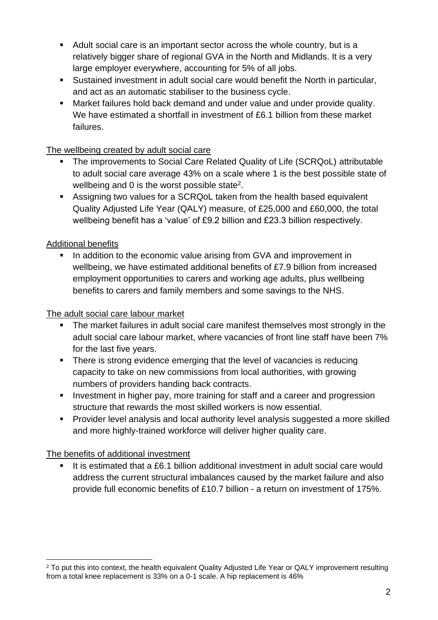- Adult social care is an important sector across the whole country, but is a relatively bigger share of regional GVA in the North and Midlands. It is a very large employer everywhere, accounting for 5% of all jobs.
- Sustained investment in adult social care would benefit the North in particular, and act as an automatic stabiliser to the business cycle.
- Market failures hold back demand and under value and under provide quality. We have estimated a shortfall in investment of £6.1 billion from these market failures.

### The wellbeing created by adult social care

- The improvements to Social Care Related Quality of Life (SCRQoL) attributable to adult social care average 43% on a scale where 1 is the best possible state of wellbeing and 0 is the worst possible state<sup>2</sup>.
- Assigning two values for a SCRQoL taken from the health based equivalent Quality Adjusted Life Year (QALY) measure, of £25,000 and £60,000, the total wellbeing benefit has a 'value' of £9.2 billion and £23.3 billion respectively.

### Additional benefits

In addition to the economic value arising from GVA and improvement in wellbeing, we have estimated additional benefits of £7.9 billion from increased employment opportunities to carers and working age adults, plus wellbeing benefits to carers and family members and some savings to the NHS.

### The adult social care labour market

- **•** The market failures in adult social care manifest themselves most strongly in the adult social care labour market, where vacancies of front line staff have been 7% for the last five years.
- There is strong evidence emerging that the level of vacancies is reducing capacity to take on new commissions from local authorities, with growing numbers of providers handing back contracts.
- **E** Investment in higher pay, more training for staff and a career and progression structure that rewards the most skilled workers is now essential.
- Provider level analysis and local authority level analysis suggested a more skilled and more highly-trained workforce will deliver higher quality care.

### The benefits of additional investment

 $\blacksquare$  It is estimated that a £6.1 billion additional investment in adult social care would address the current structural imbalances caused by the market failure and also provide full economic benefits of £10.7 billion - a return on investment of 175%.

<sup>&</sup>lt;sup>2</sup> To put this into context, the health equivalent Quality Adjusted Life Year or QALY improvement resulting from a total knee replacement is 33% on a 0-1 scale. A hip replacement is 46%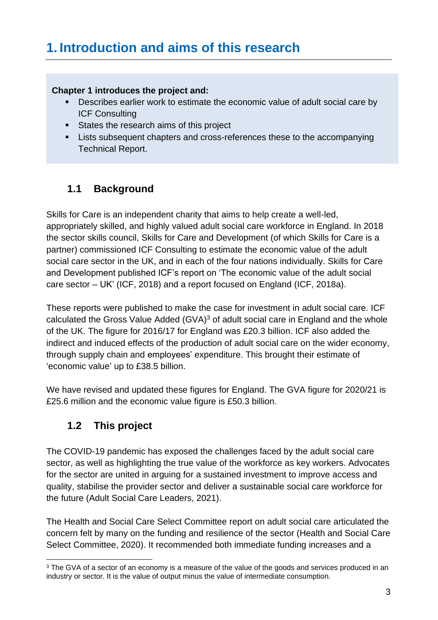## <span id="page-7-0"></span>**1. Introduction and aims of this research**

#### **Chapter 1 introduces the project and:**

- Describes earlier work to estimate the economic value of adult social care by ICF Consulting
- **EXECUTE:** States the research aims of this project
- Lists subsequent chapters and cross-references these to the accompanying Technical Report.

### <span id="page-7-1"></span>**1.1 Background**

Skills for Care is an independent charity that aims to help create a well-led, appropriately skilled, and highly valued adult social care workforce in England. In 2018 the sector skills council, Skills for Care and Development (of which Skills for Care is a partner) commissioned ICF Consulting to estimate the economic value of the adult social care sector in the UK, and in each of the four nations individually. Skills for Care and Development published ICF's report on 'The economic value of the adult social care sector – UK' (ICF, 2018) and a report focused on England (ICF, 2018a).

These reports were published to make the case for investment in adult social care. ICF calculated the Gross Value Added  $(GVA)^3$  of adult social care in England and the whole of the UK. The figure for 2016/17 for England was £20.3 billion. ICF also added the indirect and induced effects of the production of adult social care on the wider economy, through supply chain and employees' expenditure. This brought their estimate of 'economic value' up to £38.5 billion.

We have revised and updated these figures for England. The GVA figure for 2020/21 is £25.6 million and the economic value figure is £50.3 billion.

### <span id="page-7-2"></span>**1.2 This project**

The COVID-19 pandemic has exposed the challenges faced by the adult social care sector, as well as highlighting the true value of the workforce as key workers. Advocates for the sector are united in arguing for a sustained investment to improve access and quality, stabilise the provider sector and deliver a sustainable social care workforce for the future (Adult Social Care Leaders, 2021).

The Health and Social Care Select Committee report on adult social care articulated the concern felt by many on the funding and resilience of the sector (Health and Social Care Select Committee, 2020). It recommended both immediate funding increases and a

<sup>&</sup>lt;sup>3</sup> The GVA of a sector of an economy is a measure of the value of the goods and services produced in an industry or sector. It is the value of output minus the value of intermediate consumption.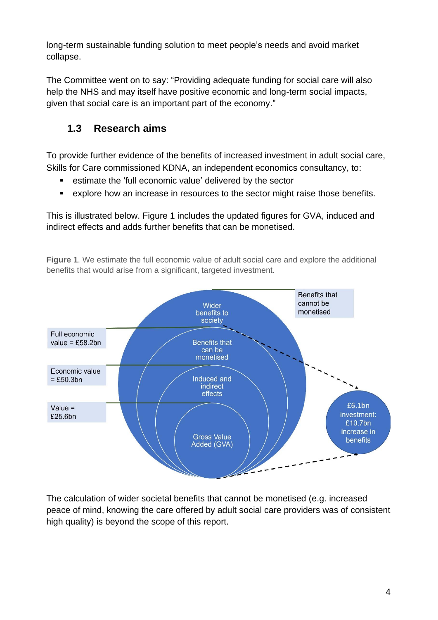long-term sustainable funding solution to meet people's needs and avoid market collapse.

The Committee went on to say: "Providing adequate funding for social care will also help the NHS and may itself have positive economic and long-term social impacts, given that social care is an important part of the economy."

### <span id="page-8-0"></span>**1.3 Research aims**

To provide further evidence of the benefits of increased investment in adult social care, Skills for Care commissioned KDNA, an independent economics consultancy, to:

- estimate the 'full economic value' delivered by the sector
- explore how an increase in resources to the sector might raise those benefits.

This is illustrated below. Figure 1 includes the updated figures for GVA, induced and indirect effects and adds further benefits that can be monetised.

**Figure 1**. We estimate the full economic value of adult social care and explore the additional benefits that would arise from a significant, targeted investment.



The calculation of wider societal benefits that cannot be monetised (e.g. increased peace of mind, knowing the care offered by adult social care providers was of consistent high quality) is beyond the scope of this report.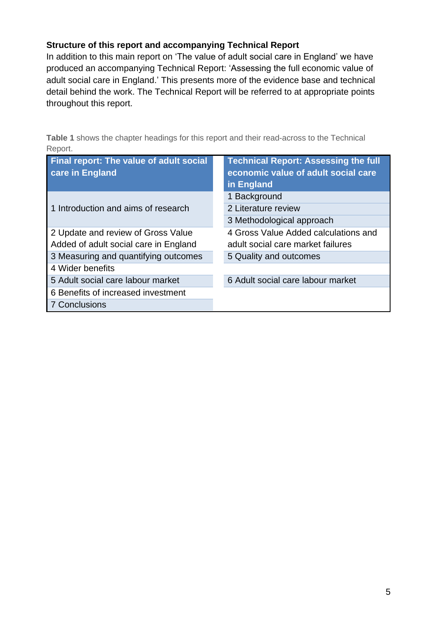#### **Structure of this report and accompanying Technical Report**

In addition to this main report on 'The value of adult social care in England' we have produced an accompanying Technical Report: 'Assessing the full economic value of adult social care in England.' This presents more of the evidence base and technical detail behind the work. The Technical Report will be referred to at appropriate points throughout this report.

**Table 1** shows the chapter headings for this report and their read-across to the Technical Report.

| <b>Final report: The value of adult social</b><br>care in England | <b>Technical Report: Assessing the full</b><br>economic value of adult social care<br>in England |
|-------------------------------------------------------------------|--------------------------------------------------------------------------------------------------|
|                                                                   | 1 Background                                                                                     |
| 1 Introduction and aims of research                               | 2 Literature review                                                                              |
|                                                                   | 3 Methodological approach                                                                        |
| 2 Update and review of Gross Value                                | 4 Gross Value Added calculations and                                                             |
| Added of adult social care in England                             | adult social care market failures                                                                |
| 3 Measuring and quantifying outcomes                              | 5 Quality and outcomes                                                                           |
| 4 Wider benefits                                                  |                                                                                                  |
| 5 Adult social care labour market                                 | 6 Adult social care labour market                                                                |
| 6 Benefits of increased investment                                |                                                                                                  |
| <b>7 Conclusions</b>                                              |                                                                                                  |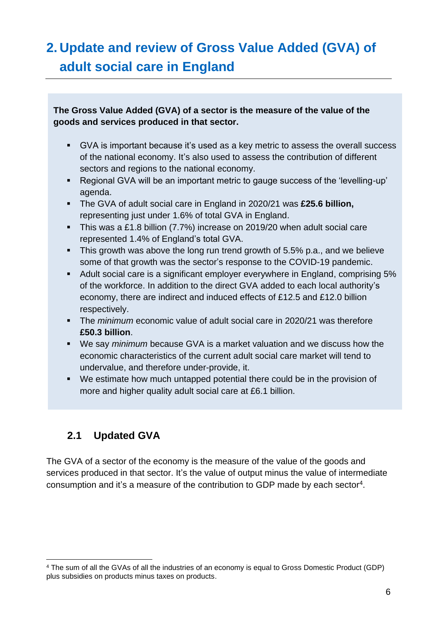## <span id="page-10-0"></span>**2. Update and review of Gross Value Added (GVA) of adult social care in England**

### **The Gross Value Added (GVA) of a sector is the measure of the value of the goods and services produced in that sector.**

- GVA is important because it's used as a key metric to assess the overall success of the national economy. It's also used to assess the contribution of different sectors and regions to the national economy.
- Regional GVA will be an important metric to gauge success of the 'levelling-up' agenda.
- The GVA of adult social care in England in 2020/21 was **£25.6 billion,** representing just under 1.6% of total GVA in England.
- **This was a £1.8 billion (7.7%) increase on 2019/20 when adult social care** represented 1.4% of England's total GVA.
- **This growth was above the long run trend growth of 5.5% p.a., and we believe** some of that growth was the sector's response to the COVID-19 pandemic.
- Adult social care is a significant employer everywhere in England, comprising 5% of the workforce. In addition to the direct GVA added to each local authority's economy, there are indirect and induced effects of £12.5 and £12.0 billion respectively.
- The *minimum* economic value of adult social care in 2020/21 was therefore **£50.3 billion**.
- We say *minimum* because GVA is a market valuation and we discuss how the economic characteristics of the current adult social care market will tend to undervalue, and therefore under-provide, it.
- We estimate how much untapped potential there could be in the provision of more and higher quality adult social care at £6.1 billion.

### <span id="page-10-1"></span>**2.1 Updated GVA**

The GVA of a sector of the economy is the measure of the value of the goods and services produced in that sector. It's the value of output minus the value of intermediate consumption and it's a measure of the contribution to GDP made by each sector<sup>4</sup>.

<sup>4</sup> The sum of all the GVAs of all the industries of an economy is equal to Gross Domestic Product (GDP) plus subsidies on products minus taxes on products.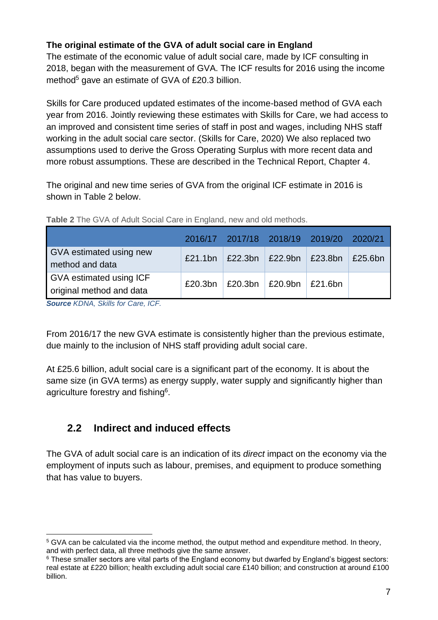### **The original estimate of the GVA of adult social care in England**

The estimate of the economic value of adult social care, made by ICF consulting in 2018, began with the measurement of GVA. The ICF results for 2016 using the income method<sup>5</sup> gave an estimate of GVA of £20.3 billion.

Skills for Care produced updated estimates of the income-based method of GVA each year from 2016. Jointly reviewing these estimates with Skills for Care, we had access to an improved and consistent time series of staff in post and wages, including NHS staff working in the adult social care sector. (Skills for Care, 2020) We also replaced two assumptions used to derive the Gross Operating Surplus with more recent data and more robust assumptions. These are described in the Technical Report, Chapter 4.

The original and new time series of GVA from the original ICF estimate in 2016 is shown in Table 2 below.

|                                                            |  | 2016/17 2017/18 2018/19 2019/20 2020/21 |         |
|------------------------------------------------------------|--|-----------------------------------------|---------|
| GVA estimated using new<br>method and data                 |  | £21.1bn   £22.3bn   £22.9bn   £23.8bn   | £25.6bn |
| <b>GVA estimated using ICF</b><br>original method and data |  | £20.3bn   £20.3bn   £20.9bn   £21.6bn   |         |
| <b>SOUTO KDALA</b> Skills for Care ICE                     |  |                                         |         |

**Table 2** The GVA of Adult Social Care in England, new and old methods.

*Source KDNA, Skills for Care, ICF.* 

From 2016/17 the new GVA estimate is consistently higher than the previous estimate, due mainly to the inclusion of NHS staff providing adult social care.

At £25.6 billion, adult social care is a significant part of the economy. It is about the same size (in GVA terms) as energy supply, water supply and significantly higher than agriculture forestry and fishing<sup>6</sup>.

### <span id="page-11-0"></span>**2.2 Indirect and induced effects**

The GVA of adult social care is an indication of its *direct* impact on the economy via the employment of inputs such as labour, premises, and equipment to produce something that has value to buyers.

<sup>5</sup> GVA can be calculated via the income method, the output method and expenditure method. In theory, and with perfect data, all three methods give the same answer.

<sup>&</sup>lt;sup>6</sup> These smaller sectors are vital parts of the England economy but dwarfed by England's biggest sectors: real estate at £220 billion; health excluding adult social care £140 billion; and construction at around £100 billion.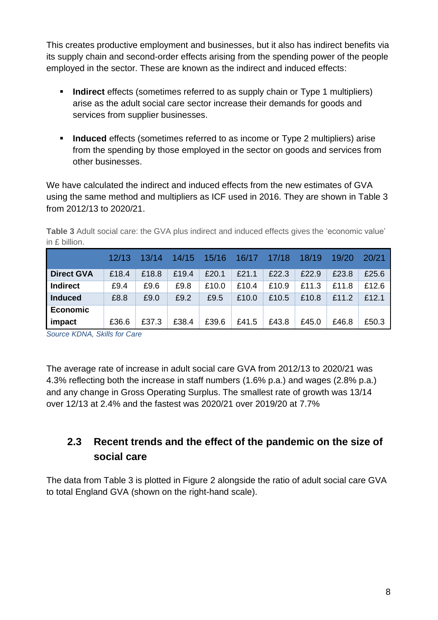This creates productive employment and businesses, but it also has indirect benefits via its supply chain and second-order effects arising from the spending power of the people employed in the sector. These are known as the indirect and induced effects:

- **EXED Indirect** effects (sometimes referred to as supply chain or Type 1 multipliers) arise as the adult social care sector increase their demands for goods and services from supplier businesses.
- **Induced** effects (sometimes referred to as income or Type 2 multipliers) arise from the spending by those employed in the sector on goods and services from other businesses.

We have calculated the indirect and induced effects from the new estimates of GVA using the same method and multipliers as ICF used in 2016. They are shown in Table 3 from 2012/13 to 2020/21.

**Table 3** Adult social care: the GVA plus indirect and induced effects gives the 'economic value' in £ billion.

|                   | 12/13 | 13/14 | 14/15 | 15/16 | 16/17 | 17/18 | 18/19 | 19/20 | 20/21 |
|-------------------|-------|-------|-------|-------|-------|-------|-------|-------|-------|
| <b>Direct GVA</b> | £18.4 | £18.8 | £19.4 | £20.1 | £21.1 | £22.3 | £22.9 | £23.8 | £25.6 |
| <b>Indirect</b>   | £9.4  | £9.6  | £9.8  | £10.0 | £10.4 | £10.9 | £11.3 | £11.8 | £12.6 |
| <b>Induced</b>    | £8.8  | £9.0  | £9.2  | £9.5  | £10.0 | £10.5 | £10.8 | £11.2 | £12.1 |
| Economic          |       |       |       |       |       |       |       |       |       |
| impact            | £36.6 | £37.3 | £38.4 | £39.6 | £41.5 | £43.8 | £45.0 | £46.8 | £50.3 |

*Source KDNA, Skills for Care* 

The average rate of increase in adult social care GVA from 2012/13 to 2020/21 was 4.3% reflecting both the increase in staff numbers (1.6% p.a.) and wages (2.8% p.a.) and any change in Gross Operating Surplus. The smallest rate of growth was 13/14 over 12/13 at 2.4% and the fastest was 2020/21 over 2019/20 at 7.7%

### <span id="page-12-0"></span>**2.3 Recent trends and the effect of the pandemic on the size of social care**

The data from Table 3 is plotted in Figure 2 alongside the ratio of adult social care GVA to total England GVA (shown on the right-hand scale).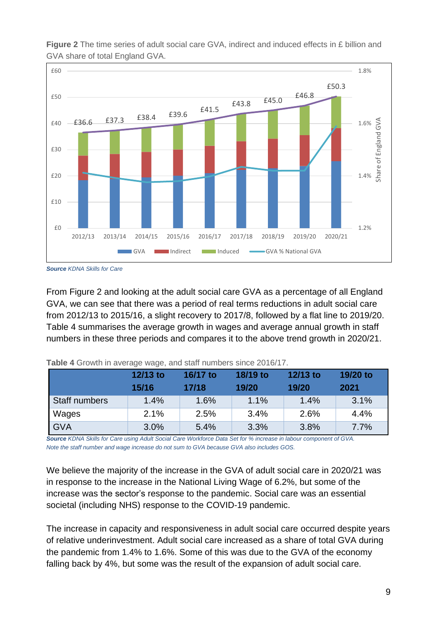

**Figure 2** The time series of adult social care GVA, indirect and induced effects in £ billion and GVA share of total England GVA.

*Source KDNA Skills for Care*

From Figure 2 and looking at the adult social care GVA as a percentage of all England GVA, we can see that there was a period of real terms reductions in adult social care from 2012/13 to 2015/16, a slight recovery to 2017/8, followed by a flat line to 2019/20. Table 4 summarises the average growth in wages and average annual growth in staff numbers in these three periods and compares it to the above trend growth in 2020/21.

|               | 12/13 to<br>15/16 | 16/17 to<br>17/18 | 18/19 to<br>19/20 | 12/13 to<br>19/20 | 19/20 to<br>2021 |
|---------------|-------------------|-------------------|-------------------|-------------------|------------------|
| Staff numbers | 1.4%              | 1.6%              | 1.1%              | 1.4%              | 3.1%             |
| Wages         | 2.1%              | 2.5%              | 3.4%              | 2.6%              | 4.4%             |
| <b>GVA</b>    | 3.0%              | 5.4%              | 3.3%              | 3.8%              | 7.7%             |

**Table 4** Growth in average wage, and staff numbers since 2016/17.

*Source KDNA Skills for Care using Adult Social Care Workforce Data Set for % increase in labour component of GVA. Note the staff number and wage increase do not sum to GVA because GVA also includes GOS.* 

We believe the majority of the increase in the GVA of adult social care in 2020/21 was in response to the increase in the National Living Wage of 6.2%, but some of the increase was the sector's response to the pandemic. Social care was an essential societal (including NHS) response to the COVID-19 pandemic.

The increase in capacity and responsiveness in adult social care occurred despite years of relative underinvestment. Adult social care increased as a share of total GVA during the pandemic from 1.4% to 1.6%. Some of this was due to the GVA of the economy falling back by 4%, but some was the result of the expansion of adult social care.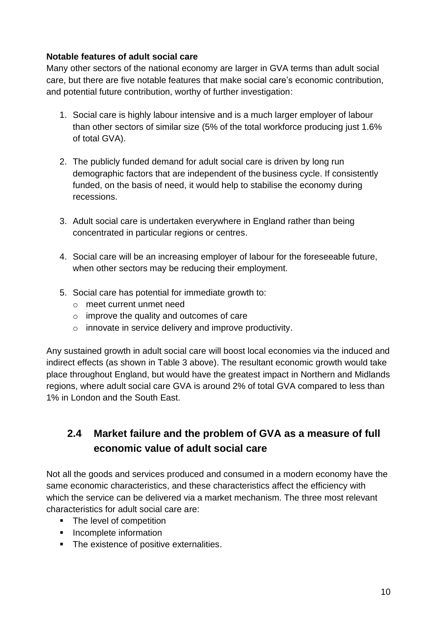### **Notable features of adult social care**

Many other sectors of the national economy are larger in GVA terms than adult social care, but there are five notable features that make social care's economic contribution, and potential future contribution, worthy of further investigation:

- 1. Social care is highly labour intensive and is a much larger employer of labour than other sectors of similar size (5% of the total workforce producing just 1.6% of total GVA).
- 2. The publicly funded demand for adult social care is driven by long run demographic factors that are independent of the business cycle. If consistently funded, on the basis of need, it would help to stabilise the economy during recessions.
- 3. Adult social care is undertaken everywhere in England rather than being concentrated in particular regions or centres.
- 4. Social care will be an increasing employer of labour for the foreseeable future, when other sectors may be reducing their employment.
- 5. Social care has potential for immediate growth to:
	- o meet current unmet need
	- o improve the quality and outcomes of care
	- o innovate in service delivery and improve productivity.

Any sustained growth in adult social care will boost local economies via the induced and indirect effects (as shown in Table 3 above). The resultant economic growth would take place throughout England, but would have the greatest impact in Northern and Midlands regions, where adult social care GVA is around 2% of total GVA compared to less than 1% in London and the South East.

### <span id="page-14-0"></span>**2.4 Market failure and the problem of GVA as a measure of full economic value of adult social care**

Not all the goods and services produced and consumed in a modern economy have the same economic characteristics, and these characteristics affect the efficiency with which the service can be delivered via a market mechanism. The three most relevant characteristics for adult social care are:

- The level of competition
- **·** Incomplete information
- The existence of positive externalities.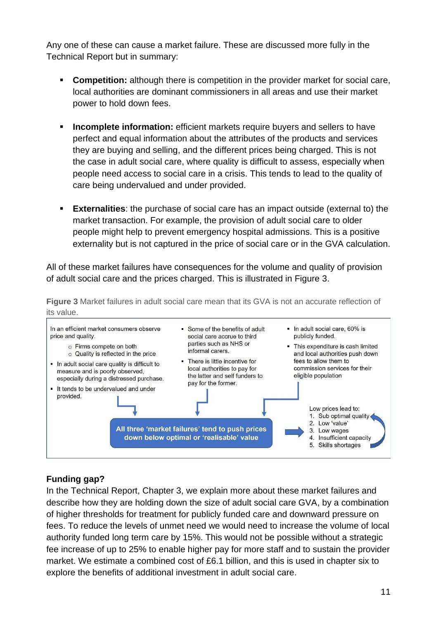Any one of these can cause a market failure. These are discussed more fully in the Technical Report but in summary:

- **Competition:** although there is competition in the provider market for social care, local authorities are dominant commissioners in all areas and use their market power to hold down fees.
- **EXTERN** Incomplete information: efficient markets require buyers and sellers to have perfect and equal information about the attributes of the products and services they are buying and selling, and the different prices being charged. This is not the case in adult social care, where quality is difficult to assess, especially when people need access to social care in a crisis. This tends to lead to the quality of care being undervalued and under provided.
- **Externalities**: the purchase of social care has an impact outside (external to) the market transaction. For example, the provision of adult social care to older people might help to prevent emergency hospital admissions. This is a positive externality but is not captured in the price of social care or in the GVA calculation.

All of these market failures have consequences for the volume and quality of provision of adult social care and the prices charged. This is illustrated in Figure 3.

**Figure 3** Market failures in adult social care mean that its GVA is not an accurate reflection of its value.



### **Funding gap?**

In the Technical Report, Chapter 3, we explain more about these market failures and describe how they are holding down the size of adult social care GVA, by a combination of higher thresholds for treatment for publicly funded care and downward pressure on fees. To reduce the levels of unmet need we would need to increase the volume of local authority funded long term care by 15%. This would not be possible without a strategic fee increase of up to 25% to enable higher pay for more staff and to sustain the provider market. We estimate a combined cost of £6.1 billion, and this is used in chapter six to explore the benefits of additional investment in adult social care.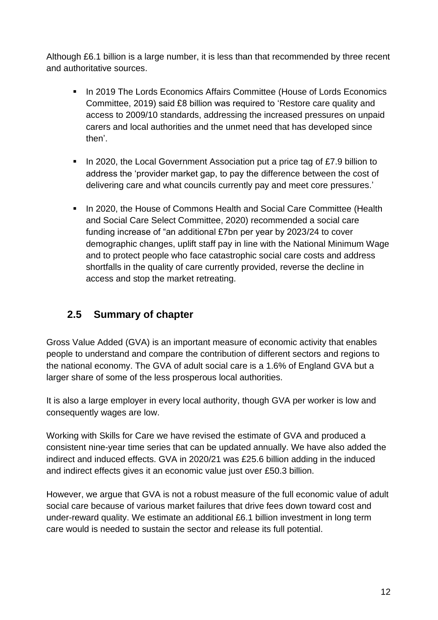Although £6.1 billion is a large number, it is less than that recommended by three recent and authoritative sources.

- In 2019 The Lords Economics Affairs Committee (House of Lords Economics Committee, 2019) said £8 billion was required to 'Restore care quality and access to 2009/10 standards, addressing the increased pressures on unpaid carers and local authorities and the unmet need that has developed since then'.
- In 2020, the Local Government Association put a price tag of £7.9 billion to address the 'provider market gap, to pay the difference between the cost of delivering care and what councils currently pay and meet core pressures.'
- In 2020, the House of Commons Health and Social Care Committee (Health and Social Care Select Committee, 2020) recommended a social care funding increase of "an additional £7bn per year by 2023/24 to cover demographic changes, uplift staff pay in line with the National Minimum Wage and to protect people who face catastrophic social care costs and address shortfalls in the quality of care currently provided, reverse the decline in access and stop the market retreating.

### <span id="page-16-0"></span>**2.5 Summary of chapter**

Gross Value Added (GVA) is an important measure of economic activity that enables people to understand and compare the contribution of different sectors and regions to the national economy. The GVA of adult social care is a 1.6% of England GVA but a larger share of some of the less prosperous local authorities.

It is also a large employer in every local authority, though GVA per worker is low and consequently wages are low.

Working with Skills for Care we have revised the estimate of GVA and produced a consistent nine-year time series that can be updated annually. We have also added the indirect and induced effects. GVA in 2020/21 was £25.6 billion adding in the induced and indirect effects gives it an economic value just over £50.3 billion.

However, we argue that GVA is not a robust measure of the full economic value of adult social care because of various market failures that drive fees down toward cost and under-reward quality. We estimate an additional £6.1 billion investment in long term care would is needed to sustain the sector and release its full potential.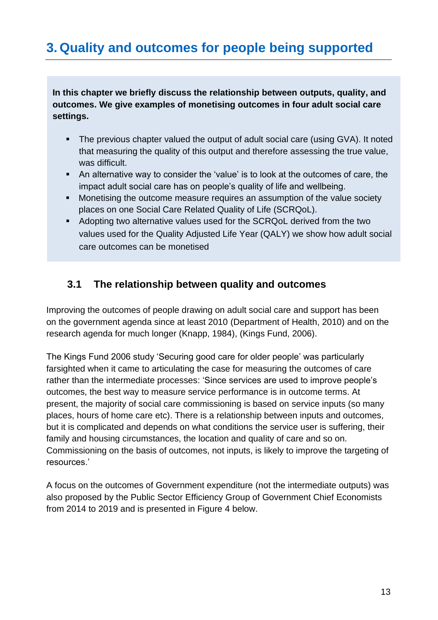## <span id="page-17-0"></span>**3. Quality and outcomes for people being supported**

**In this chapter we briefly discuss the relationship between outputs, quality, and outcomes. We give examples of monetising outcomes in four adult social care settings.** 

- The previous chapter valued the output of adult social care (using GVA). It noted that measuring the quality of this output and therefore assessing the true value, was difficult.
- An alternative way to consider the 'value' is to look at the outcomes of care, the impact adult social care has on people's quality of life and wellbeing.
- Monetising the outcome measure requires an assumption of the value society places on one Social Care Related Quality of Life (SCRQoL).
- Adopting two alternative values used for the SCRQoL derived from the two values used for the Quality Adjusted Life Year (QALY) we show how adult social care outcomes can be monetised

### <span id="page-17-1"></span>**3.1 The relationship between quality and outcomes**

Improving the outcomes of people drawing on adult social care and support has been on the government agenda since at least 2010 (Department of Health, 2010) and on the research agenda for much longer (Knapp, 1984), (Kings Fund, 2006).

The Kings Fund 2006 study 'Securing good care for older people' was particularly farsighted when it came to articulating the case for measuring the outcomes of care rather than the intermediate processes: 'Since services are used to improve people's outcomes, the best way to measure service performance is in outcome terms. At present, the majority of social care commissioning is based on service inputs (so many places, hours of home care etc). There is a relationship between inputs and outcomes, but it is complicated and depends on what conditions the service user is suffering, their family and housing circumstances, the location and quality of care and so on. Commissioning on the basis of outcomes, not inputs, is likely to improve the targeting of resources.'

A focus on the outcomes of Government expenditure (not the intermediate outputs) was also proposed by the Public Sector Efficiency Group of Government Chief Economists from 2014 to 2019 and is presented in Figure 4 below.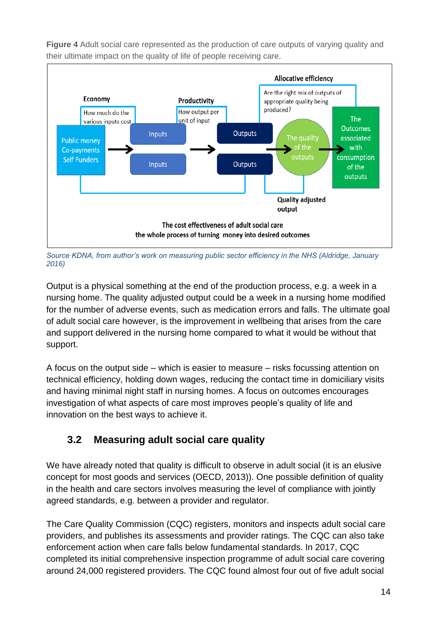

**Figure 4** Adult social care represented as the production of care outputs of varying quality and their ultimate impact on the quality of life of people receiving care.

*Source KDNA, from author's work on measuring public sector efficiency in the NHS (Aldridge, January 2016)*

Output is a physical something at the end of the production process, e.g. a week in a nursing home. The quality adjusted output could be a week in a nursing home modified for the number of adverse events, such as medication errors and falls. The ultimate goal of adult social care however, is the improvement in wellbeing that arises from the care and support delivered in the nursing home compared to what it would be without that support.

A focus on the output side – which is easier to measure – risks focussing attention on technical efficiency, holding down wages, reducing the contact time in domiciliary visits and having minimal night staff in nursing homes. A focus on outcomes encourages investigation of what aspects of care most improves people's quality of life and innovation on the best ways to achieve it.

### <span id="page-18-0"></span>**3.2 Measuring adult social care quality**

We have already noted that quality is difficult to observe in adult social (it is an elusive concept for most goods and services (OECD, 2013)). One possible definition of quality in the health and care sectors involves measuring the level of compliance with jointly agreed standards, e.g. between a provider and regulator.

The Care Quality Commission (CQC) registers, monitors and inspects adult social care providers, and publishes its assessments and provider ratings. The CQC can also take enforcement action when care falls below fundamental standards. In 2017, CQC completed its initial comprehensive inspection programme of adult social care covering around 24,000 registered providers. The CQC found almost four out of five adult social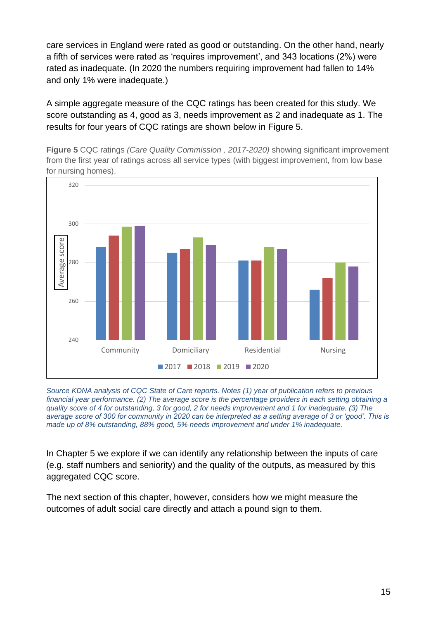care services in England were rated as good or outstanding. On the other hand, nearly a fifth of services were rated as 'requires improvement', and 343 locations (2%) were rated as inadequate. (In 2020 the numbers requiring improvement had fallen to 14% and only 1% were inadequate.)

A simple aggregate measure of the CQC ratings has been created for this study. We score outstanding as 4, good as 3, needs improvement as 2 and inadequate as 1. The results for four years of CQC ratings are shown below in Figure 5.

**Figure 5** CQC ratings *(Care Quality Commission , 2017-2020)* showing significant improvement from the first year of ratings across all service types (with biggest improvement, from low base for nursing homes).



*Source KDNA analysis of CQC State of Care reports. Notes (1) year of publication refers to previous financial year performance. (2) The average score is the percentage providers in each setting obtaining a quality score of 4 for outstanding, 3 for good, 2 for needs improvement and 1 for inadequate. (3) The average score of 300 for community in 2020 can be interpreted as a setting average of 3 or 'good'. This is made up of 8% outstanding, 88% good, 5% needs improvement and under 1% inadequate.* 

In Chapter 5 we explore if we can identify any relationship between the inputs of care (e.g. staff numbers and seniority) and the quality of the outputs, as measured by this aggregated CQC score.

The next section of this chapter, however, considers how we might measure the outcomes of adult social care directly and attach a pound sign to them.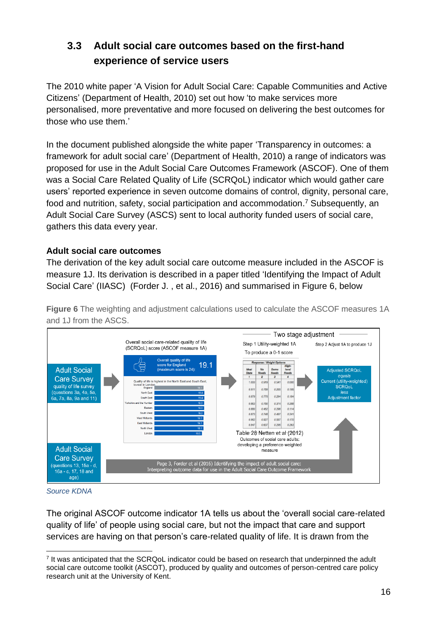### <span id="page-20-0"></span>**3.3 Adult social care outcomes based on the first-hand experience of service users**

The 2010 white paper 'A Vision for Adult Social Care: Capable Communities and Active Citizens' (Department of Health, 2010) set out how 'to make services more personalised, more preventative and more focused on delivering the best outcomes for those who use them.'

In the document published alongside the white paper 'Transparency in outcomes: a framework for adult social care' (Department of Health, 2010) a range of indicators was proposed for use in the Adult Social Care Outcomes Framework (ASCOF). One of them was a Social Care Related Quality of Life (SCRQoL) indicator which would gather care users' reported experience in seven outcome domains of control, dignity, personal care, food and nutrition, safety, social participation and accommodation. <sup>7</sup> Subsequently, an Adult Social Care Survey (ASCS) sent to local authority funded users of social care, gathers this data every year.

#### **Adult social care outcomes**

The derivation of the key adult social care outcome measure included in the ASCOF is measure 1J. Its derivation is described in a paper titled 'Identifying the Impact of Adult Social Care' (IIASC) (Forder J. , et al., 2016) and summarised in Figure 6, below

**Figure 6** The weighting and adjustment calculations used to calculate the ASCOF measures 1A and 1J from the ASCS.



*Source KDNA* 

The original ASCOF outcome indicator 1A tells us about the 'overall social care-related quality of life' of people using social care, but not the impact that care and support services are having on that person's care-related quality of life. It is drawn from the

<sup>7</sup> It was anticipated that the SCRQoL indicator could be based on research that underpinned the adult social care outcome toolkit (ASCOT), produced by quality and outcomes of person-centred care policy research unit at the University of Kent.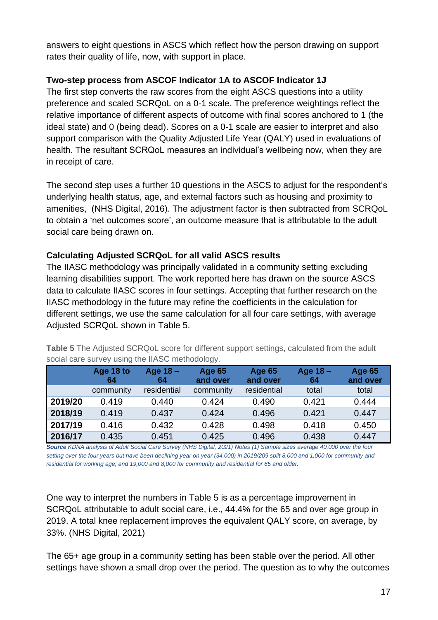answers to eight questions in ASCS which reflect how the person drawing on support rates their quality of life, now, with support in place.

### **Two-step process from ASCOF Indicator 1A to ASCOF Indicator 1J**

The first step converts the raw scores from the eight ASCS questions into a utility preference and scaled SCRQoL on a 0-1 scale. The preference weightings reflect the relative importance of different aspects of outcome with final scores anchored to 1 (the ideal state) and 0 (being dead). Scores on a 0-1 scale are easier to interpret and also support comparison with the Quality Adjusted Life Year (QALY) used in evaluations of health. The resultant SCRQoL measures an individual's wellbeing now, when they are in receipt of care.

The second step uses a further 10 questions in the ASCS to adjust for the respondent's underlying health status, age, and external factors such as housing and proximity to amenities, (NHS Digital, 2016). The adjustment factor is then subtracted from SCRQoL to obtain a 'net outcomes score', an outcome measure that is attributable to the adult social care being drawn on.

### **Calculating Adjusted SCRQoL for all valid ASCS results**

The IIASC methodology was principally validated in a community setting excluding learning disabilities support. The work reported here has drawn on the source ASCS data to calculate IIASC scores in four settings. Accepting that further research on the IIASC methodology in the future may refine the coefficients in the calculation for different settings, we use the same calculation for all four care settings, with average Adjusted SCRQoL shown in Table 5.

**Table 5** The Adjusted SCRQoL score for different support settings, calculated from the adult social care survey using the IIASC methodology.

|         | Age 18 to<br>64 | Age $18 -$<br>64 | <b>Age 65</b><br>and over | <b>Age 65</b><br>and over | Age 18 -<br>64 | <b>Age 65</b><br>and over |
|---------|-----------------|------------------|---------------------------|---------------------------|----------------|---------------------------|
|         | community       | residential      | community                 | residential               | total          | total                     |
| 2019/20 | 0.419           | 0.440            | 0.424                     | 0.490                     | 0.421          | 0.444                     |
| 2018/19 | 0.419           | 0.437            | 0.424                     | 0.496                     | 0.421          | 0.447                     |
| 2017/19 | 0.416           | 0.432            | 0.428                     | 0.498                     | 0.418          | 0.450                     |
| 2016/17 | 0.435           | 0.451            | 0.425                     | 0.496                     | 0.438          | 0.447                     |

*Source KDNA analysis of Adult Social Care Survey (NHS Digital, 2021) Notes (1) Sample sizes average 40,000 over the four setting over the four years but have been declining year on year (34,000) in 2019/209 split 8,000 and 1,000 for community and residential for working age; and 19,000 and 8,000 for community and residential for 65 and older.* 

One way to interpret the numbers in Table 5 is as a percentage improvement in SCRQoL attributable to adult social care, i.e., 44.4% for the 65 and over age group in 2019. A total knee replacement improves the equivalent QALY score, on average, by 33%. (NHS Digital, 2021)

The 65+ age group in a community setting has been stable over the period. All other settings have shown a small drop over the period. The question as to why the outcomes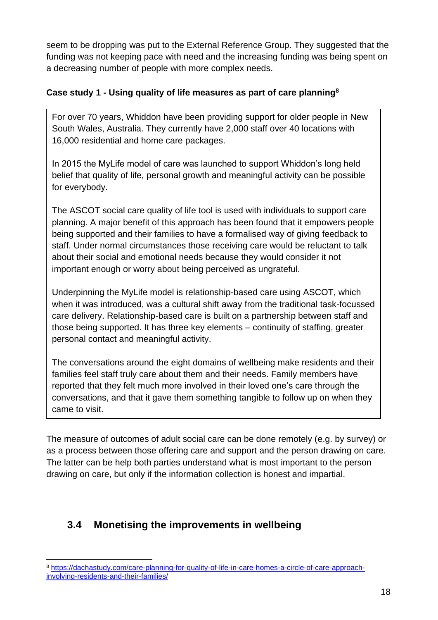seem to be dropping was put to the External Reference Group. They suggested that the funding was not keeping pace with need and the increasing funding was being spent on a decreasing number of people with more complex needs.

### **Case study 1 - Using quality of life measures as part of care planning<sup>8</sup>**

For over 70 years, Whiddon have been providing support for older people in New South Wales, Australia. They currently have 2,000 staff over 40 locations with 16,000 residential and home care packages.

In 2015 the MyLife model of care was launched to support Whiddon's long held belief that quality of life, personal growth and meaningful activity can be possible for everybody.

The ASCOT social care quality of life tool is used with individuals to support care planning. A major benefit of this approach has been found that it empowers people being supported and their families to have a formalised way of giving feedback to staff. Under normal circumstances those receiving care would be reluctant to talk about their social and emotional needs because they would consider it not important enough or worry about being perceived as ungrateful.

Underpinning the MyLife model is relationship-based care using ASCOT, which when it was introduced, was a cultural shift away from the traditional task-focussed care delivery. Relationship-based care is built on a partnership between staff and those being supported. It has three key elements – continuity of staffing, greater personal contact and meaningful activity.

The conversations around the eight domains of wellbeing make residents and their families feel staff truly care about them and their needs. Family members have reported that they felt much more involved in their loved one's care through the conversations, and that it gave them something tangible to follow up on when they came to visit.

The measure of outcomes of adult social care can be done remotely (e.g. by survey) or as a process between those offering care and support and the person drawing on care. The latter can be help both parties understand what is most important to the person drawing on care, but only if the information collection is honest and impartial.

### <span id="page-22-0"></span>**3.4 Monetising the improvements in wellbeing**

<sup>8</sup> [https://dachastudy.com/care-planning-for-quality-of-life-in-care-homes-a-circle-of-care-approach](https://eur01.safelinks.protection.outlook.com/?url=https%3A%2F%2Fdachastudy.com%2Fcare-planning-for-quality-of-life-in-care-homes-a-circle-of-care-approach-involving-residents-and-their-families%2F&data=04%7C01%7CEmily.Muir%40skillsforcare.org.uk%7C201a4452fe784cfa0a1008d988143461%7C5c317017415d43e6ada17668f9ad3f9f%7C0%7C0%7C637690443208226479%7CUnknown%7CTWFpbGZsb3d8eyJWIjoiMC4wLjAwMDAiLCJQIjoiV2luMzIiLCJBTiI6Ik1haWwiLCJXVCI6Mn0%3D%7C3000&sdata=QIPGAqa5Dt2tkU%2Fxcd4%2BjSIexToL1JLB%2BmhorRr5LEI%3D&reserved=0)[involving-residents-and-their-families/](https://eur01.safelinks.protection.outlook.com/?url=https%3A%2F%2Fdachastudy.com%2Fcare-planning-for-quality-of-life-in-care-homes-a-circle-of-care-approach-involving-residents-and-their-families%2F&data=04%7C01%7CEmily.Muir%40skillsforcare.org.uk%7C201a4452fe784cfa0a1008d988143461%7C5c317017415d43e6ada17668f9ad3f9f%7C0%7C0%7C637690443208226479%7CUnknown%7CTWFpbGZsb3d8eyJWIjoiMC4wLjAwMDAiLCJQIjoiV2luMzIiLCJBTiI6Ik1haWwiLCJXVCI6Mn0%3D%7C3000&sdata=QIPGAqa5Dt2tkU%2Fxcd4%2BjSIexToL1JLB%2BmhorRr5LEI%3D&reserved=0)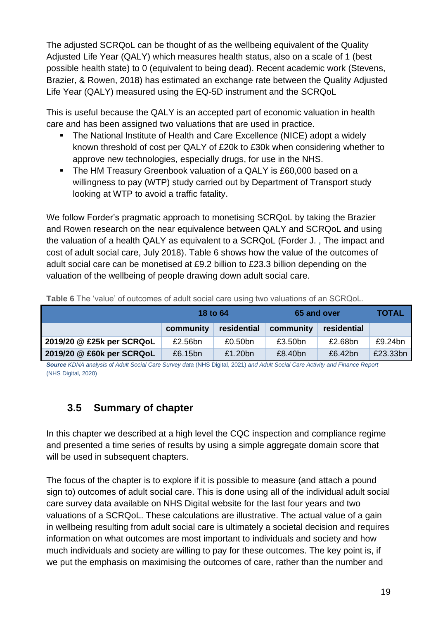The adjusted SCRQoL can be thought of as the wellbeing equivalent of the Quality Adjusted Life Year (QALY) which measures health status, also on a scale of 1 (best possible health state) to 0 (equivalent to being dead). Recent academic work (Stevens, Brazier, & Rowen, 2018) has estimated an exchange rate between the Quality Adjusted Life Year (QALY) measured using the EQ-5D instrument and the SCRQoL

This is useful because the QALY is an accepted part of economic valuation in health care and has been assigned two valuations that are used in practice.

- The National Institute of Health and Care Excellence (NICE) adopt a widely known threshold of cost per QALY of £20k to £30k when considering whether to approve new technologies, especially drugs, for use in the NHS.
- The HM Treasury Greenbook valuation of a QALY is £60,000 based on a willingness to pay (WTP) study carried out by Department of Transport study looking at WTP to avoid a traffic fatality.

We follow Forder's pragmatic approach to monetising SCRQoL by taking the Brazier and Rowen research on the near equivalence between QALY and SCRQoL and using the valuation of a health QALY as equivalent to a SCRQoL (Forder J. , The impact and cost of adult social care, July 2018). Table 6 shows how the value of the outcomes of adult social care can be monetised at £9.2 billion to £23.3 billion depending on the valuation of the wellbeing of people drawing down adult social care.

|                           | 18 to 64  |             | 65 and over | <b>TOTAL</b> |          |
|---------------------------|-----------|-------------|-------------|--------------|----------|
|                           | community | residential | community   | residential  |          |
| 2019/20 @ £25k per SCRQoL | £2.56bn   | £0.50bn     | £3.50bn     | £2.68bn      | £9.24bn  |
| 2019/20 @ £60k per SCRQoL | £6.15bn   | £1.20bn     | £8.40bn     | £6.42bn      | £23.33bn |

**Table 6** The 'value' of outcomes of adult social care using two valuations of an SCRQoL.

*Source KDNA analysis of Adult Social Care Survey data* (NHS Digital, 2021) *and Adult Social Care Activity and Finance Report*  (NHS Digital, 2020)

### <span id="page-23-0"></span>**3.5 Summary of chapter**

In this chapter we described at a high level the CQC inspection and compliance regime and presented a time series of results by using a simple aggregate domain score that will be used in subsequent chapters.

The focus of the chapter is to explore if it is possible to measure (and attach a pound sign to) outcomes of adult social care. This is done using all of the individual adult social care survey data available on NHS Digital website for the last four years and two valuations of a SCRQoL. These calculations are illustrative. The actual value of a gain in wellbeing resulting from adult social care is ultimately a societal decision and requires information on what outcomes are most important to individuals and society and how much individuals and society are willing to pay for these outcomes. The key point is, if we put the emphasis on maximising the outcomes of care, rather than the number and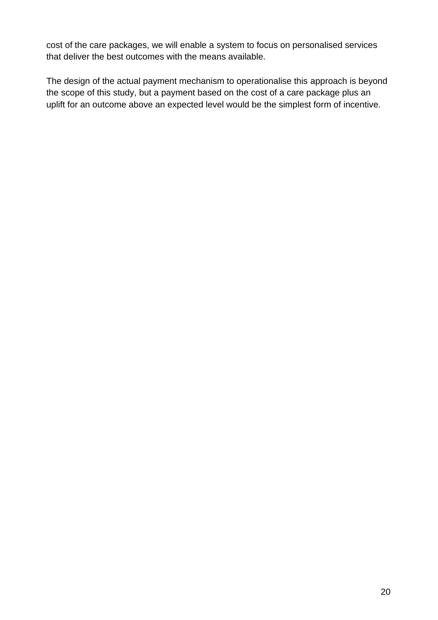cost of the care packages, we will enable a system to focus on personalised services that deliver the best outcomes with the means available.

The design of the actual payment mechanism to operationalise this approach is beyond the scope of this study, but a payment based on the cost of a care package plus an uplift for an outcome above an expected level would be the simplest form of incentive.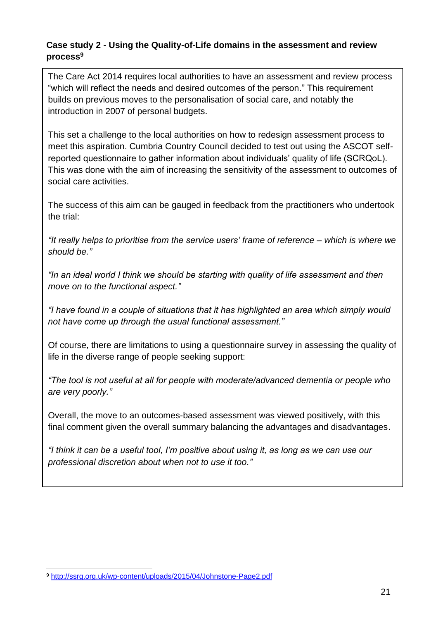#### **Case study 2 - Using the Quality-of-Life domains in the assessment and review process 9**

The Care Act 2014 requires local authorities to have an assessment and review process "which will reflect the needs and desired outcomes of the person." This requirement builds on previous moves to the personalisation of social care, and notably the introduction in 2007 of personal budgets.

This set a challenge to the local authorities on how to redesign assessment process to meet this aspiration. Cumbria Country Council decided to test out using the ASCOT selfreported questionnaire to gather information about individuals' quality of life (SCRQoL). This was done with the aim of increasing the sensitivity of the assessment to outcomes of social care activities.

The success of this aim can be gauged in feedback from the practitioners who undertook the trial:

*"It really helps to prioritise from the service users' frame of reference – which is where we should be."*

*"In an ideal world I think we should be starting with quality of life assessment and then move on to the functional aspect."*

*"I have found in a couple of situations that it has highlighted an area which simply would not have come up through the usual functional assessment."* 

Of course, there are limitations to using a questionnaire survey in assessing the quality of life in the diverse range of people seeking support:

*"The tool is not useful at all for people with moderate/advanced dementia or people who are very poorly."*

Overall, the move to an outcomes-based assessment was viewed positively, with this final comment given the overall summary balancing the advantages and disadvantages.

*"I think it can be a useful tool, I'm positive about using it, as long as we can use our professional discretion about when not to use it too."* 

<sup>9</sup> <http://ssrg.org.uk/wp-content/uploads/2015/04/Johnstone-Page2.pdf>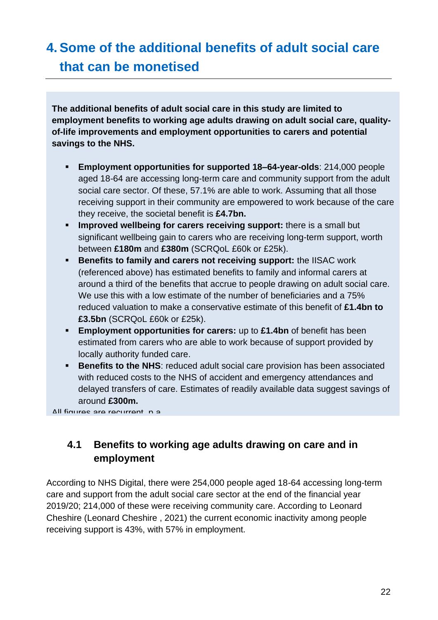## <span id="page-26-0"></span>**4. Some of the additional benefits of adult social care that can be monetised**

**The additional benefits of adult social care in this study are limited to employment benefits to working age adults drawing on adult social care, qualityof-life improvements and employment opportunities to carers and potential savings to the NHS.**

- **Employment opportunities for supported 18–64-year-olds**: 214,000 people aged 18-64 are accessing long-term care and community support from the adult social care sector. Of these, 57.1% are able to work. Assuming that all those receiving support in their community are empowered to work because of the care they receive, the societal benefit is **£4.7bn.**
- **Improved wellbeing for carers receiving support:** there is a small but significant wellbeing gain to carers who are receiving long-term support, worth between **£180m** and **£380m** (SCRQoL £60k or £25k).
- **EXECTE:** Benefits to family and carers not receiving support: the IISAC work (referenced above) has estimated benefits to family and informal carers at around a third of the benefits that accrue to people drawing on adult social care. We use this with a low estimate of the number of beneficiaries and a 75% reduced valuation to make a conservative estimate of this benefit of **£1.4bn to £3.5bn** (SCRQoL £60k or £25k).
- **Employment opportunities for carers:** up to £1.4bn of benefit has been estimated from carers who are able to work because of support provided by locally authority funded care.
- **EXECTE:** Benefits to the NHS: reduced adult social care provision has been associated with reduced costs to the NHS of accident and emergency attendances and delayed transfers of care. Estimates of readily available data suggest savings of around **£300m.**

 $\Delta$ ll figures are recurrent, p.a.

### <span id="page-26-1"></span>**4.1 Benefits to working age adults drawing on care and in employment**

According to NHS Digital, there were 254,000 people aged 18-64 accessing long-term care and support from the adult social care sector at the end of the financial year 2019/20; 214,000 of these were receiving community care. According to Leonard Cheshire (Leonard Cheshire , 2021) the current economic inactivity among people receiving support is 43%, with 57% in employment.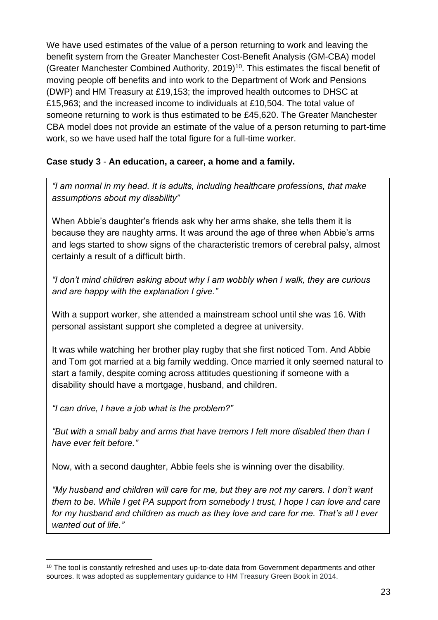We have used estimates of the value of a person returning to work and leaving the benefit system from the Greater Manchester Cost-Benefit Analysis (GM-CBA) model (Greater Manchester Combined Authority, 2019)<sup>10</sup>. This estimates the fiscal benefit of moving people off benefits and into work to the Department of Work and Pensions (DWP) and HM Treasury at £19,153; the improved health outcomes to DHSC at £15,963; and the increased income to individuals at £10,504. The total value of someone returning to work is thus estimated to be £45,620. The Greater Manchester CBA model does not provide an estimate of the value of a person returning to part-time work, so we have used half the total figure for a full-time worker.

### **Case study 3** - **An education, a career, a home and a family.**

*"I am normal in my head. It is adults, including healthcare professions, that make assumptions about my disability"* 

When Abbie's daughter's friends ask why her arms shake, she tells them it is because they are naughty arms. It was around the age of three when Abbie's arms and legs started to show signs of the characteristic tremors of cerebral palsy, almost certainly a result of a difficult birth.

*"I don't mind children asking about why I am wobbly when I walk, they are curious and are happy with the explanation I give."*

With a support worker, she attended a mainstream school until she was 16. With personal assistant support she completed a degree at university.

It was while watching her brother play rugby that she first noticed Tom. And Abbie and Tom got married at a big family wedding. Once married it only seemed natural to start a family, despite coming across attitudes questioning if someone with a disability should have a mortgage, husband, and children.

*"I can drive, I have a job what is the problem?"* 

*"But with a small baby and arms that have tremors I felt more disabled then than I have ever felt before."*

Now, with a second daughter, Abbie feels she is winning over the disability.

*"My husband and children will care for me, but they are not my carers. I don't want them to be. While I get PA support from somebody I trust, I hope I can love and care for my husband and children as much as they love and care for me. That's all I ever wanted out of life."* 

<sup>&</sup>lt;sup>10</sup> The tool is constantly refreshed and uses up-to-date data from Government departments and other sources. It was adopted as supplementary guidance to HM Treasury Green Book in 2014.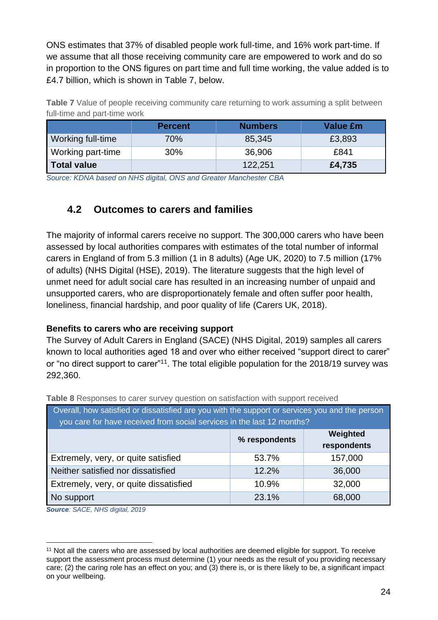ONS estimates that 37% of disabled people work full-time, and 16% work part-time. If we assume that all those receiving community care are empowered to work and do so in proportion to the ONS figures on part time and full time working, the value added is to £4.7 billion, which is shown in Table 7, below.

**Table 7** Value of people receiving community care returning to work assuming a split between full-time and part-time work

|                    | <b>Percent</b> | <b>Numbers</b> | Value £m |
|--------------------|----------------|----------------|----------|
| Working full-time  | 70%            | 85,345         | £3,893   |
| Working part-time  | 30%            | 36,906         | £841     |
| <b>Total value</b> |                | 122,251        | £4,735   |

*Source: KDNA based on NHS digital, ONS and Greater Manchester CBA*

### <span id="page-28-0"></span>**4.2 Outcomes to carers and families**

The majority of informal carers receive no support. The 300,000 carers who have been assessed by local authorities compares with estimates of the total number of informal carers in England of from 5.3 million (1 in 8 adults) (Age UK, 2020) to 7.5 million (17% of adults) (NHS Digital (HSE), 2019). The literature suggests that the high level of unmet need for adult social care has resulted in an increasing number of unpaid and unsupported carers, who are disproportionately female and often suffer poor health, loneliness, financial hardship, and poor quality of life (Carers UK, 2018).

#### **Benefits to carers who are receiving support**

The Survey of Adult Carers in England (SACE) (NHS Digital, 2019) samples all carers known to local authorities aged 18 and over who either received "support direct to carer" or "no direct support to carer"<sup>11</sup>. The total eligible population for the 2018/19 survey was 292,360.

| a read allows to contain and in all almontain and announcement in minimum and all and all                                                                                |       |         |  |  |  |
|--------------------------------------------------------------------------------------------------------------------------------------------------------------------------|-------|---------|--|--|--|
| Overall, how satisfied or dissatisfied are you with the support or services you and the person<br>you care for have received from social services in the last 12 months? |       |         |  |  |  |
| Weighted<br>% respondents<br>respondents                                                                                                                                 |       |         |  |  |  |
| Extremely, very, or quite satisfied                                                                                                                                      | 53.7% | 157,000 |  |  |  |
| Neither satisfied nor dissatisfied                                                                                                                                       | 12.2% | 36,000  |  |  |  |
| Extremely, very, or quite dissatisfied                                                                                                                                   | 10.9% | 32,000  |  |  |  |
| No support                                                                                                                                                               | 23.1% | 68,000  |  |  |  |

**Table 8** Responses to carer survey question on satisfaction with support received

*Source: SACE, NHS digital, 2019*

<sup>11</sup> Not all the carers who are assessed by local authorities are deemed eligible for support. To receive support the assessment process must determine (1) your needs as the result of you providing necessary care; (2) the caring role has an effect on you; and (3) there is, or is there likely to be, a significant impact on your wellbeing.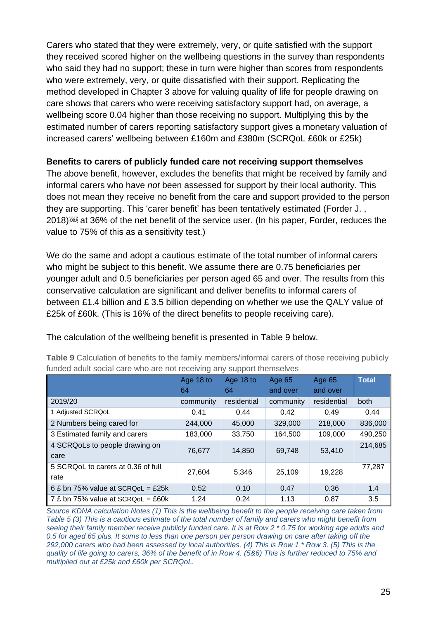Carers who stated that they were extremely, very, or quite satisfied with the support they received scored higher on the wellbeing questions in the survey than respondents who said they had no support; these in turn were higher than scores from respondents who were extremely, very, or quite dissatisfied with their support. Replicating the method developed in Chapter 3 above for valuing quality of life for people drawing on care shows that carers who were receiving satisfactory support had, on average, a wellbeing score 0.04 higher than those receiving no support. Multiplying this by the estimated number of carers reporting satisfactory support gives a monetary valuation of increased carers' wellbeing between £160m and £380m (SCRQoL £60k or £25k)

#### **Benefits to carers of publicly funded care not receiving support themselves**

The above benefit, however, excludes the benefits that might be received by family and informal carers who have *not* been assessed for support by their local authority. This does not mean they receive no benefit from the care and support provided to the person they are supporting. This 'carer benefit' has been tentatively estimated (Forder J. , 2018) at 36% of the net benefit of the service user. (In his paper, Forder, reduces the value to 75% of this as a sensitivity test.)

We do the same and adopt a cautious estimate of the total number of informal carers who might be subject to this benefit. We assume there are 0.75 beneficiaries per younger adult and 0.5 beneficiaries per person aged 65 and over. The results from this conservative calculation are significant and deliver benefits to informal carers of between £1.4 billion and £ 3.5 billion depending on whether we use the QALY value of £25k of £60k. (This is 16% of the direct benefits to people receiving care).

|                                              | Age 18 to | Age 18 to   | Age 65    | Age 65      | <b>Total</b> |
|----------------------------------------------|-----------|-------------|-----------|-------------|--------------|
|                                              | 64        | 64          | and over  | and over    |              |
| 2019/20                                      | community | residential | community | residential | both         |
| 1 Adjusted SCRQoL                            | 0.41      | 0.44        | 0.42      | 0.49        | 0.44         |
| 2 Numbers being cared for                    | 244,000   | 45,000      | 329,000   | 218,000     | 836,000      |
| 3 Estimated family and carers                | 183,000   | 33,750      | 164,500   | 109,000     | 490,250      |
| 4 SCRQoLs to people drawing on<br>care       | 76.677    | 14.850      | 69.748    | 53.410      | 214,685      |
| 5 SCRQ o L to carers at 0.36 of full<br>rate | 27.604    | 5.346       | 25.109    | 19,228      | 77.287       |
| 6 £ bn 75% value at SCRQoL = £25k            | 0.52      | 0.10        | 0.47      | 0.36        | 1.4          |
| 7 £ bn 75% value at SCRQ o $L = £60k$        | 1.24      | 0.24        | 1.13      | 0.87        | 3.5          |

**Table 9** Calculation of benefits to the family members/informal carers of those receiving publicly funded adult social care who are not receiving any support themselves

The calculation of the wellbeing benefit is presented in Table 9 below.

*Source KDNA calculation Notes (1) This is the wellbeing benefit to the people receiving care taken from Table 5 (3) This is a cautious estimate of the total number of family and carers who might benefit from seeing their family member receive publicly funded care. It is at Row 2 \* 0.75 for working age adults and 0.5 for aged 65 plus. It sums to less than one person per person drawing on care after taking off the 292,000 carers who had been assessed by local authorities. (4) This is Row 1 \* Row 3. (5) This is the quality of life going to carers, 36% of the benefit of in Row 4. (5&6) This is further reduced to 75% and multiplied out at £25k and £60k per SCRQoL.*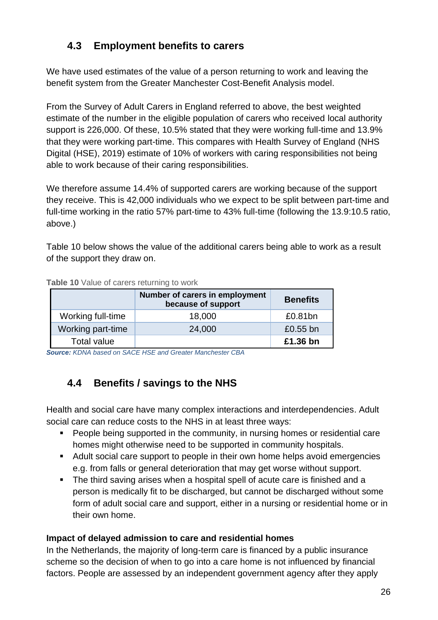### <span id="page-30-0"></span>**4.3 Employment benefits to carers**

We have used estimates of the value of a person returning to work and leaving the benefit system from the Greater Manchester Cost-Benefit Analysis model.

From the Survey of Adult Carers in England referred to above, the best weighted estimate of the number in the eligible population of carers who received local authority support is 226,000. Of these, 10.5% stated that they were working full-time and 13.9% that they were working part-time. This compares with Health Survey of England (NHS Digital (HSE), 2019) estimate of 10% of workers with caring responsibilities not being able to work because of their caring responsibilities.

We therefore assume 14.4% of supported carers are working because of the support they receive. This is 42,000 individuals who we expect to be split between part-time and full-time working in the ratio 57% part-time to 43% full-time (following the 13.9:10.5 ratio, above.)

Table 10 below shows the value of the additional carers being able to work as a result of the support they draw on.

|                    | Number of carers in employment<br>because of support | <b>Benefits</b> |
|--------------------|------------------------------------------------------|-----------------|
| Working full-time  | 18,000                                               | £0.81bn         |
| Working part-time  | 24,000                                               | £0.55 bn        |
| <b>Total value</b> |                                                      | £1.36 bn        |

**Table 10** Value of carers returning to work

*Source: KDNA based on SACE HSE and Greater Manchester CBA*

### <span id="page-30-1"></span>**4.4 Benefits / savings to the NHS**

Health and social care have many complex interactions and interdependencies. Adult social care can reduce costs to the NHS in at least three ways:

- People being supported in the community, in nursing homes or residential care homes might otherwise need to be supported in community hospitals.
- Adult social care support to people in their own home helps avoid emergencies e.g. from falls or general deterioration that may get worse without support.
- The third saving arises when a hospital spell of acute care is finished and a person is medically fit to be discharged, but cannot be discharged without some form of adult social care and support, either in a nursing or residential home or in their own home.

#### **Impact of delayed admission to care and residential homes**

In the Netherlands, the majority of long-term care is financed by a public insurance scheme so the decision of when to go into a care home is not influenced by financial factors. People are assessed by an independent government agency after they apply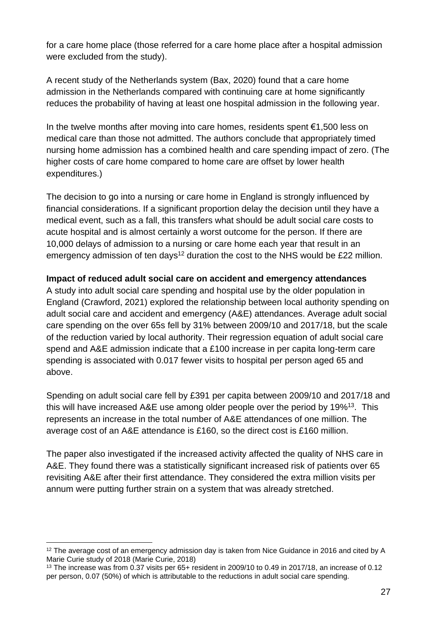for a care home place (those referred for a care home place after a hospital admission were excluded from the study).

A recent study of the Netherlands system (Bax, 2020) found that a care home admission in the Netherlands compared with continuing care at home significantly reduces the probability of having at least one hospital admission in the following year.

In the twelve months after moving into care homes, residents spent €1,500 less on medical care than those not admitted. The authors conclude that appropriately timed nursing home admission has a combined health and care spending impact of zero. (The higher costs of care home compared to home care are offset by lower health expenditures.)

The decision to go into a nursing or care home in England is strongly influenced by financial considerations. If a significant proportion delay the decision until they have a medical event, such as a fall, this transfers what should be adult social care costs to acute hospital and is almost certainly a worst outcome for the person. If there are 10,000 delays of admission to a nursing or care home each year that result in an emergency admission of ten days<sup>12</sup> duration the cost to the NHS would be £22 million.

#### **Impact of reduced adult social care on accident and emergency attendances**

A study into adult social care spending and hospital use by the older population in England (Crawford, 2021) explored the relationship between local authority spending on adult social care and accident and emergency (A&E) attendances. Average adult social care spending on the over 65s fell by 31% between 2009/10 and 2017/18, but the scale of the reduction varied by local authority. Their regression equation of adult social care spend and A&E admission indicate that a £100 increase in per capita long-term care spending is associated with 0.017 fewer visits to hospital per person aged 65 and above.

Spending on adult social care fell by £391 per capita between 2009/10 and 2017/18 and this will have increased A&E use among older people over the period by  $19\%^{13}$ . This represents an increase in the total number of A&E attendances of one million. The average cost of an A&E attendance is £160, so the direct cost is £160 million.

The paper also investigated if the increased activity affected the quality of NHS care in A&E. They found there was a statistically significant increased risk of patients over 65 revisiting A&E after their first attendance. They considered the extra million visits per annum were putting further strain on a system that was already stretched.

<sup>&</sup>lt;sup>12</sup> The average cost of an emergency admission day is taken from Nice Guidance in 2016 and cited by A Marie Curie study of 2018 (Marie Curie, 2018)

<sup>13</sup> The increase was from 0.37 visits per 65+ resident in 2009/10 to 0.49 in 2017/18, an increase of 0.12 per person, 0.07 (50%) of which is attributable to the reductions in adult social care spending.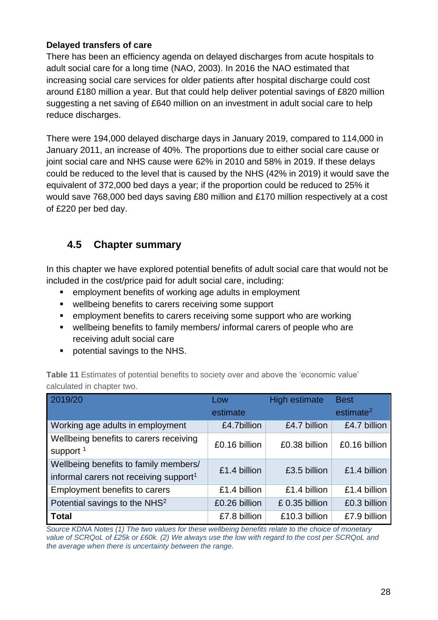#### **Delayed transfers of care**

There has been an efficiency agenda on delayed discharges from acute hospitals to adult social care for a long time (NAO, 2003). In 2016 the NAO estimated that increasing social care services for older patients after hospital discharge could cost around £180 million a year. But that could help deliver potential savings of £820 million suggesting a net saving of £640 million on an investment in adult social care to help reduce discharges.

There were 194,000 delayed discharge days in January 2019, compared to 114,000 in January 2011, an increase of 40%. The proportions due to either social care cause or joint social care and NHS cause were 62% in 2010 and 58% in 2019. If these delays could be reduced to the level that is caused by the NHS (42% in 2019) it would save the equivalent of 372,000 bed days a year; if the proportion could be reduced to 25% it would save 768,000 bed days saving £80 million and £170 million respectively at a cost of £220 per bed day.

### <span id="page-32-0"></span>**4.5 Chapter summary**

In this chapter we have explored potential benefits of adult social care that would not be included in the cost/price paid for adult social care, including:

- employment benefits of working age adults in employment
- wellbeing benefits to carers receiving some support
- employment benefits to carers receiving some support who are working
- wellbeing benefits to family members/ informal carers of people who are receiving adult social care
- potential savings to the NHS.

| 2019/20                                                                                     | Low<br>estimate | <b>High estimate</b> | <b>Best</b><br>estimate <sup>2</sup> |
|---------------------------------------------------------------------------------------------|-----------------|----------------------|--------------------------------------|
| Working age adults in employment                                                            | £4.7billion     | £4.7 billion         | £4.7 billion                         |
| Wellbeing benefits to carers receiving<br>support <sup>1</sup>                              | £0.16 billion   | £0.38 billion        | £0.16 billion                        |
| Wellbeing benefits to family members/<br>informal carers not receiving support <sup>1</sup> | £1.4 billion    | £3.5 billion         | £1.4 billion                         |
| Employment benefits to carers                                                               | £1.4 billion    | £1.4 billion         | £1.4 billion                         |
| Potential savings to the NHS <sup>2</sup>                                                   | £0.26 billion   | $£$ 0.35 billion     | £0.3 billion                         |
| <b>Total</b>                                                                                | £7.8 billion    | £10.3 billion        | £7.9 billion                         |

**Table 11** Estimates of potential benefits to society over and above the 'economic value' calculated in chapter two.

*Source KDNA Notes (1) The two values for these wellbeing benefits relate to the choice of monetary value of SCRQoL of £25k or £60k. (2) We always use the low with regard to the cost per SCRQoL and the average when there is uncertainty between the range.*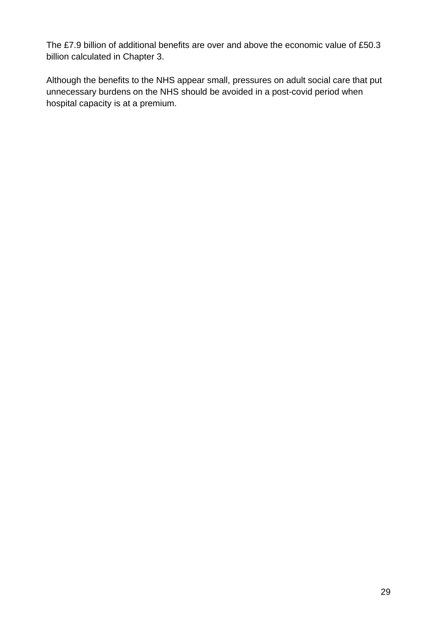The £7.9 billion of additional benefits are over and above the economic value of £50.3 billion calculated in Chapter 3.

Although the benefits to the NHS appear small, pressures on adult social care that put unnecessary burdens on the NHS should be avoided in a post-covid period when hospital capacity is at a premium.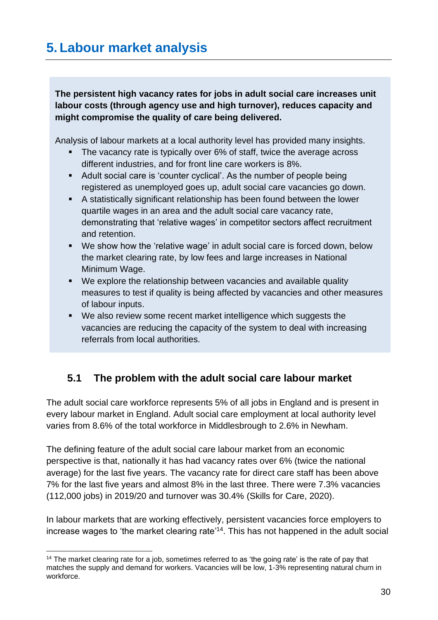<span id="page-34-0"></span>**The persistent high vacancy rates for jobs in adult social care increases unit labour costs (through agency use and high turnover), reduces capacity and might compromise the quality of care being delivered.** 

Analysis of labour markets at a local authority level has provided many insights.

- The vacancy rate is typically over 6% of staff, twice the average across different industries, and for front line care workers is 8%.
- Adult social care is 'counter cyclical'. As the number of people being registered as unemployed goes up, adult social care vacancies go down.
- A statistically significant relationship has been found between the lower quartile wages in an area and the adult social care vacancy rate, demonstrating that 'relative wages' in competitor sectors affect recruitment and retention.
- We show how the 'relative wage' in adult social care is forced down, below the market clearing rate, by low fees and large increases in National Minimum Wage.
- We explore the relationship between vacancies and available quality measures to test if quality is being affected by vacancies and other measures of labour inputs.
- We also review some recent market intelligence which suggests the vacancies are reducing the capacity of the system to deal with increasing referrals from local authorities.

### <span id="page-34-1"></span>**5.1 The problem with the adult social care labour market**

The adult social care workforce represents 5% of all jobs in England and is present in every labour market in England. Adult social care employment at local authority level varies from 8.6% of the total workforce in Middlesbrough to 2.6% in Newham.

The defining feature of the adult social care labour market from an economic perspective is that, nationally it has had vacancy rates over 6% (twice the national average) for the last five years. The vacancy rate for direct care staff has been above 7% for the last five years and almost 8% in the last three. There were 7.3% vacancies (112,000 jobs) in 2019/20 and turnover was 30.4% (Skills for Care, 2020).

In labour markets that are working effectively, persistent vacancies force employers to increase wages to 'the market clearing rate' <sup>14</sup>. This has not happened in the adult social

<sup>&</sup>lt;sup>14</sup> The market clearing rate for a job, sometimes referred to as 'the going rate' is the rate of pay that matches the supply and demand for workers. Vacancies will be low, 1-3% representing natural churn in workforce.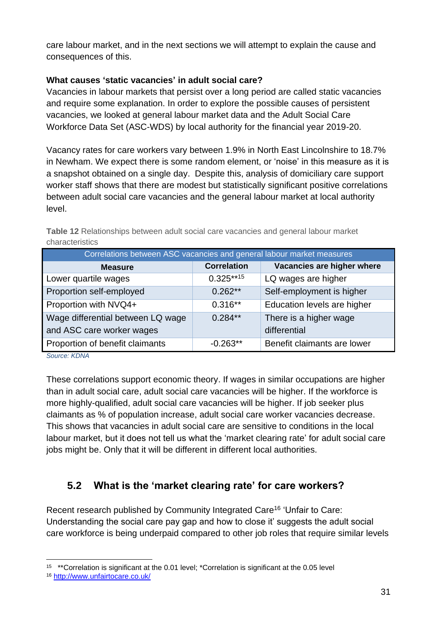care labour market, and in the next sections we will attempt to explain the cause and consequences of this.

### **What causes 'static vacancies' in adult social care?**

Vacancies in labour markets that persist over a long period are called static vacancies and require some explanation. In order to explore the possible causes of persistent vacancies, we looked at general labour market data and the Adult Social Care Workforce Data Set (ASC-WDS) by local authority for the financial year 2019-20.

Vacancy rates for care workers vary between 1.9% in North East Lincolnshire to 18.7% in Newham. We expect there is some random element, or 'noise' in this measure as it is a snapshot obtained on a single day. Despite this, analysis of domiciliary care support worker staff shows that there are modest but statistically significant positive correlations between adult social care vacancies and the general labour market at local authority level.

| Correlations between ASC vacancies and general labour market measures |                    |                             |  |  |
|-----------------------------------------------------------------------|--------------------|-----------------------------|--|--|
| <b>Measure</b>                                                        | <b>Correlation</b> | Vacancies are higher where  |  |  |
| Lower quartile wages                                                  | $0.325***15$       | LQ wages are higher         |  |  |
| Proportion self-employed                                              | $0.262**$          | Self-employment is higher   |  |  |
| Proportion with NVQ4+                                                 | $0.316**$          | Education levels are higher |  |  |
| Wage differential between LQ wage                                     | $0.284**$          | There is a higher wage      |  |  |
| and ASC care worker wages                                             |                    | differential                |  |  |
| Proportion of benefit claimants                                       | $-0.263**$         | Benefit claimants are lower |  |  |

| <b>Table 12</b> Relationships between adult social care vacancies and general labour market |  |  |  |
|---------------------------------------------------------------------------------------------|--|--|--|
| characteristics                                                                             |  |  |  |

*Source: KDNA*

These correlations support economic theory. If wages in similar occupations are higher than in adult social care, adult social care vacancies will be higher. If the workforce is more highly-qualified, adult social care vacancies will be higher. If job seeker plus claimants as % of population increase, adult social care worker vacancies decrease. This shows that vacancies in adult social care are sensitive to conditions in the local labour market, but it does not tell us what the 'market clearing rate' for adult social care jobs might be. Only that it will be different in different local authorities.

### <span id="page-35-0"></span>**5.2 What is the 'market clearing rate' for care workers?**

Recent research published by Community Integrated Care<sup>16</sup> 'Unfair to Care: Understanding the social care pay gap and how to close it' suggests the adult social care workforce is being underpaid compared to other job roles that require similar levels

<sup>&</sup>lt;sup>15</sup> \*\*Correlation is significant at the 0.01 level; \*Correlation is significant at the 0.05 level

<sup>16</sup> <http://www.unfairtocare.co.uk/>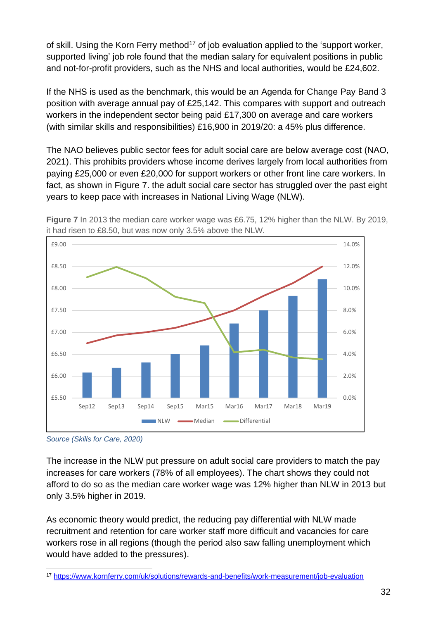of skill. Using the Korn Ferry method<sup>17</sup> of job evaluation applied to the 'support worker, supported living' job role found that the median salary for equivalent positions in public and not-for-profit providers, such as the NHS and local authorities, would be £24,602.

If the NHS is used as the benchmark, this would be an Agenda for Change Pay Band 3 position with average annual pay of £25,142. This compares with support and outreach workers in the independent sector being paid £17,300 on average and care workers (with similar skills and responsibilities) £16,900 in 2019/20: a 45% plus difference.

The NAO believes public sector fees for adult social care are below average cost (NAO, 2021). This prohibits providers whose income derives largely from local authorities from paying £25,000 or even £20,000 for support workers or other front line care workers. In fact, as shown in Figure 7. the adult social care sector has struggled over the past eight years to keep pace with increases in National Living Wage (NLW).



**Figure 7** In 2013 the median care worker wage was £6.75, 12% higher than the NLW. By 2019, it had risen to £8.50, but was now only 3.5% above the NLW.

The increase in the NLW put pressure on adult social care providers to match the pay increases for care workers (78% of all employees). The chart shows they could not afford to do so as the median care worker wage was 12% higher than NLW in 2013 but only 3.5% higher in 2019.

As economic theory would predict, the reducing pay differential with NLW made recruitment and retention for care worker staff more difficult and vacancies for care workers rose in all regions (though the period also saw falling unemployment which would have added to the pressures).

*Source (Skills for Care, 2020)*

<sup>17</sup> <https://www.kornferry.com/uk/solutions/rewards-and-benefits/work-measurement/job-evaluation>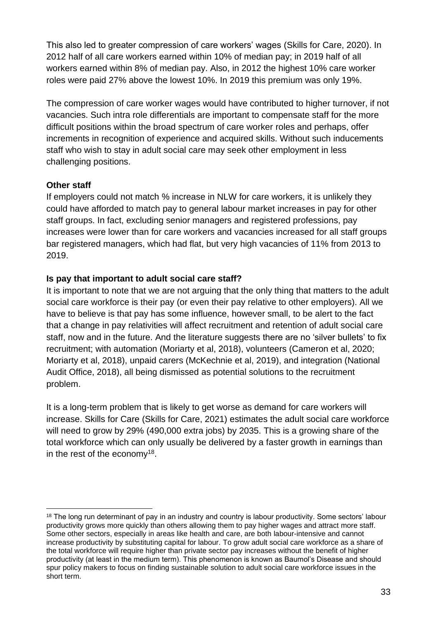This also led to greater compression of care workers' wages (Skills for Care, 2020). In 2012 half of all care workers earned within 10% of median pay; in 2019 half of all workers earned within 8% of median pay. Also, in 2012 the highest 10% care worker roles were paid 27% above the lowest 10%. In 2019 this premium was only 19%.

The compression of care worker wages would have contributed to higher turnover, if not vacancies. Such intra role differentials are important to compensate staff for the more difficult positions within the broad spectrum of care worker roles and perhaps, offer increments in recognition of experience and acquired skills. Without such inducements staff who wish to stay in adult social care may seek other employment in less challenging positions.

#### **Other staff**

If employers could not match % increase in NLW for care workers, it is unlikely they could have afforded to match pay to general labour market increases in pay for other staff groups. In fact, excluding senior managers and registered professions, pay increases were lower than for care workers and vacancies increased for all staff groups bar registered managers, which had flat, but very high vacancies of 11% from 2013 to 2019.

### **Is pay that important to adult social care staff?**

It is important to note that we are not arguing that the only thing that matters to the adult social care workforce is their pay (or even their pay relative to other employers). All we have to believe is that pay has some influence, however small, to be alert to the fact that a change in pay relativities will affect recruitment and retention of adult social care staff, now and in the future. And the literature suggests there are no 'silver bullets' to fix recruitment; with automation (Moriarty et al, 2018), volunteers (Cameron et al, 2020; Moriarty et al, 2018), unpaid carers (McKechnie et al, 2019), and integration (National Audit Office, 2018), all being dismissed as potential solutions to the recruitment problem.

It is a long-term problem that is likely to get worse as demand for care workers will increase. Skills for Care (Skills for Care, 2021) estimates the adult social care workforce will need to grow by 29% (490,000 extra jobs) by 2035. This is a growing share of the total workforce which can only usually be delivered by a faster growth in earnings than in the rest of the economy<sup>18</sup>.

<sup>&</sup>lt;sup>18</sup> The long run determinant of pay in an industry and country is labour productivity. Some sectors' labour productivity grows more quickly than others allowing them to pay higher wages and attract more staff. Some other sectors, especially in areas like health and care, are both labour-intensive and cannot increase productivity by substituting capital for labour. To grow adult social care workforce as a share of the total workforce will require higher than private sector pay increases without the benefit of higher productivity (at least in the medium term). This phenomenon is known as Baumol's Disease and should spur policy makers to focus on finding sustainable solution to adult social care workforce issues in the short term.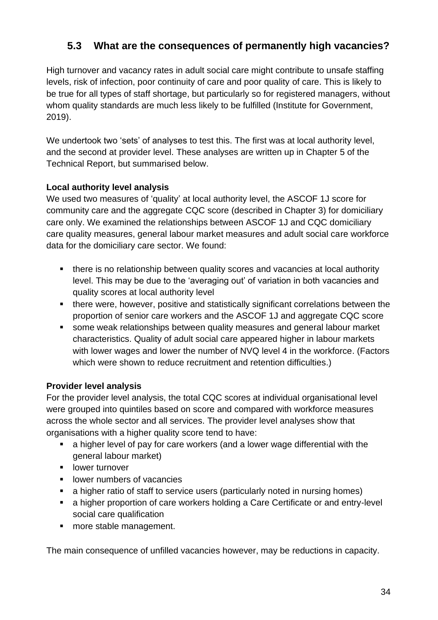### <span id="page-38-0"></span>**5.3 What are the consequences of permanently high vacancies?**

High turnover and vacancy rates in adult social care might contribute to unsafe staffing levels, risk of infection, poor continuity of care and poor quality of care. This is likely to be true for all types of staff shortage, but particularly so for registered managers, without whom quality standards are much less likely to be fulfilled (Institute for Government, 2019).

We undertook two 'sets' of analyses to test this. The first was at local authority level, and the second at provider level. These analyses are written up in Chapter 5 of the Technical Report, but summarised below.

#### **Local authority level analysis**

We used two measures of 'quality' at local authority level, the ASCOF 1J score for community care and the aggregate CQC score (described in Chapter 3) for domiciliary care only. We examined the relationships between ASCOF 1J and CQC domiciliary care quality measures, general labour market measures and adult social care workforce data for the domiciliary care sector. We found:

- there is no relationship between quality scores and vacancies at local authority level. This may be due to the 'averaging out' of variation in both vacancies and quality scores at local authority level
- there were, however, positive and statistically significant correlations between the proportion of senior care workers and the ASCOF 1J and aggregate CQC score
- some weak relationships between quality measures and general labour market characteristics. Quality of adult social care appeared higher in labour markets with lower wages and lower the number of NVQ level 4 in the workforce. (Factors which were shown to reduce recruitment and retention difficulties.)

### **Provider level analysis**

For the provider level analysis, the total CQC scores at individual organisational level were grouped into quintiles based on score and compared with workforce measures across the whole sector and all services. The provider level analyses show that organisations with a higher quality score tend to have:

- a higher level of pay for care workers (and a lower wage differential with the general labour market)
- **■** lower turnover
- **■** lower numbers of vacancies
- a higher ratio of staff to service users (particularly noted in nursing homes)
- a higher proportion of care workers holding a Care Certificate or and entry-level social care qualification
- more stable management.

The main consequence of unfilled vacancies however, may be reductions in capacity.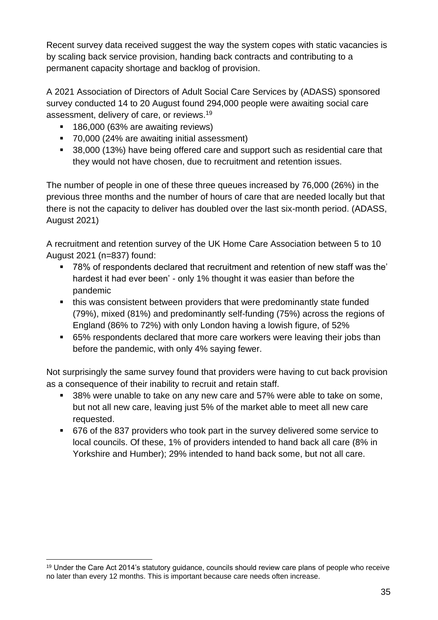Recent survey data received suggest the way the system copes with static vacancies is by scaling back service provision, handing back contracts and contributing to a permanent capacity shortage and backlog of provision.

A 2021 Association of Directors of Adult Social Care Services by (ADASS) sponsored survey conducted 14 to 20 August found 294,000 people were awaiting social care assessment, delivery of care, or reviews.<sup>19</sup>

- 186,000 (63% are awaiting reviews)
- 70,000 (24% are awaiting initial assessment)
- 38,000 (13%) have being offered care and support such as residential care that they would not have chosen, due to recruitment and retention issues.

The number of people in one of these three queues increased by 76,000 (26%) in the previous three months and the number of hours of care that are needed locally but that there is not the capacity to deliver has doubled over the last six-month period. (ADASS, August 2021)

A recruitment and retention survey of the UK Home Care Association between 5 to 10 August 2021 (n=837) found:

- 78% of respondents declared that recruitment and retention of new staff was the' hardest it had ever been' - only 1% thought it was easier than before the pandemic
- this was consistent between providers that were predominantly state funded (79%), mixed (81%) and predominantly self-funding (75%) across the regions of England (86% to 72%) with only London having a lowish figure, of 52%
- 65% respondents declared that more care workers were leaving their jobs than before the pandemic, with only 4% saying fewer.

Not surprisingly the same survey found that providers were having to cut back provision as a consequence of their inability to recruit and retain staff.

- 38% were unable to take on any new care and 57% were able to take on some, but not all new care, leaving just 5% of the market able to meet all new care requested.
- 676 of the 837 providers who took part in the survey delivered some service to local councils. Of these, 1% of providers intended to hand back all care (8% in Yorkshire and Humber); 29% intended to hand back some, but not all care.

<sup>&</sup>lt;sup>19</sup> Under the Care Act 2014's statutory guidance, councils should review care plans of people who receive no later than every 12 months. This is important because care needs often increase.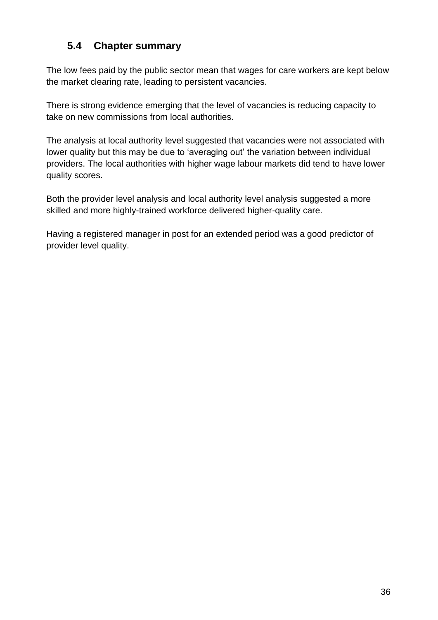### <span id="page-40-0"></span>**5.4 Chapter summary**

The low fees paid by the public sector mean that wages for care workers are kept below the market clearing rate, leading to persistent vacancies.

There is strong evidence emerging that the level of vacancies is reducing capacity to take on new commissions from local authorities.

The analysis at local authority level suggested that vacancies were not associated with lower quality but this may be due to 'averaging out' the variation between individual providers. The local authorities with higher wage labour markets did tend to have lower quality scores.

Both the provider level analysis and local authority level analysis suggested a more skilled and more highly-trained workforce delivered higher-quality care.

Having a registered manager in post for an extended period was a good predictor of provider level quality.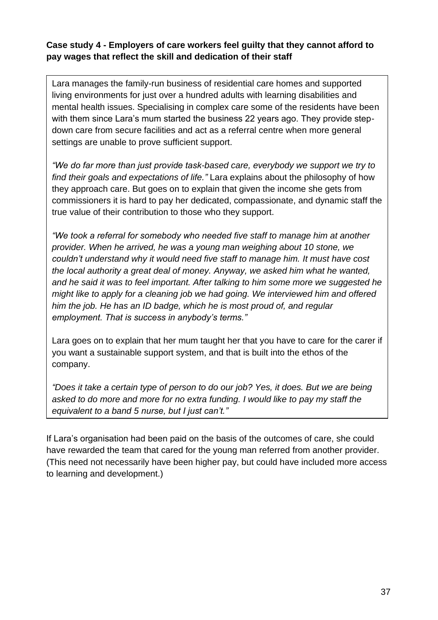#### **Case study 4 - Employers of care workers feel guilty that they cannot afford to pay wages that reflect the skill and dedication of their staff**

Lara manages the family-run business of residential care homes and supported living environments for just over a hundred adults with learning disabilities and mental health issues. Specialising in complex care some of the residents have been with them since Lara's mum started the business 22 years ago. They provide stepdown care from secure facilities and act as a referral centre when more general settings are unable to prove sufficient support.

*"We do far more than just provide task-based care, everybody we support we try to find their goals and expectations of life."* Lara explains about the philosophy of how they approach care. But goes on to explain that given the income she gets from commissioners it is hard to pay her dedicated, compassionate, and dynamic staff the true value of their contribution to those who they support.

*"We took a referral for somebody who needed five staff to manage him at another provider. When he arrived, he was a young man weighing about 10 stone, we couldn't understand why it would need five staff to manage him. It must have cost the local authority a great deal of money. Anyway, we asked him what he wanted, and he said it was to feel important. After talking to him some more we suggested he might like to apply for a cleaning job we had going. We interviewed him and offered him the job. He has an ID badge, which he is most proud of, and regular employment. That is success in anybody's terms."*

Lara goes on to explain that her mum taught her that you have to care for the carer if you want a sustainable support system, and that is built into the ethos of the company.

*"Does it take a certain type of person to do our job? Yes, it does. But we are being asked to do more and more for no extra funding. I would like to pay my staff the equivalent to a band 5 nurse, but I just can't."*

If Lara's organisation had been paid on the basis of the outcomes of care, she could have rewarded the team that cared for the young man referred from another provider. (This need not necessarily have been higher pay, but could have included more access to learning and development.)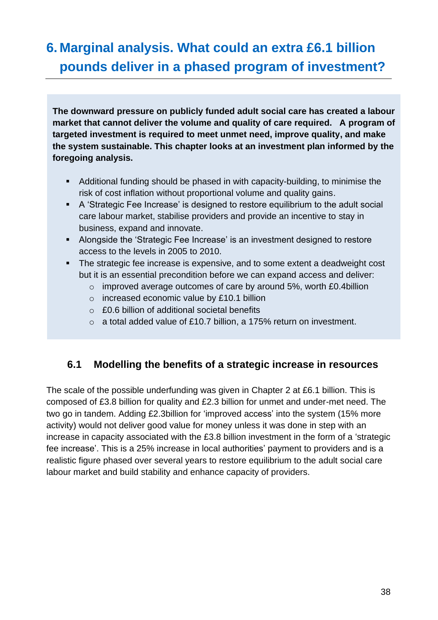## <span id="page-42-0"></span>**6. Marginal analysis. What could an extra £6.1 billion pounds deliver in a phased program of investment?**

**The downward pressure on publicly funded adult social care has created a labour market that cannot deliver the volume and quality of care required. A program of targeted investment is required to meet unmet need, improve quality, and make the system sustainable. This chapter looks at an investment plan informed by the foregoing analysis.**

- Additional funding should be phased in with capacity-building, to minimise the risk of cost inflation without proportional volume and quality gains.
- A 'Strategic Fee Increase' is designed to restore equilibrium to the adult social care labour market, stabilise providers and provide an incentive to stay in business, expand and innovate.
- Alongside the 'Strategic Fee Increase' is an investment designed to restore access to the levels in 2005 to 2010.
- The strategic fee increase is expensive, and to some extent a deadweight cost but it is an essential precondition before we can expand access and deliver:
	- o improved average outcomes of care by around 5%, worth £0.4billion
	- o increased economic value by £10.1 billion
	- o £0.6 billion of additional societal benefits
	- o a total added value of £10.7 billion, a 175% return on investment.

### <span id="page-42-1"></span>**6.1 Modelling the benefits of a strategic increase in resources**

The scale of the possible underfunding was given in Chapter 2 at £6.1 billion. This is composed of £3.8 billion for quality and £2.3 billion for unmet and under-met need. The two go in tandem. Adding £2.3billion for 'improved access' into the system (15% more activity) would not deliver good value for money unless it was done in step with an increase in capacity associated with the £3.8 billion investment in the form of a 'strategic fee increase'. This is a 25% increase in local authorities' payment to providers and is a realistic figure phased over several years to restore equilibrium to the adult social care labour market and build stability and enhance capacity of providers.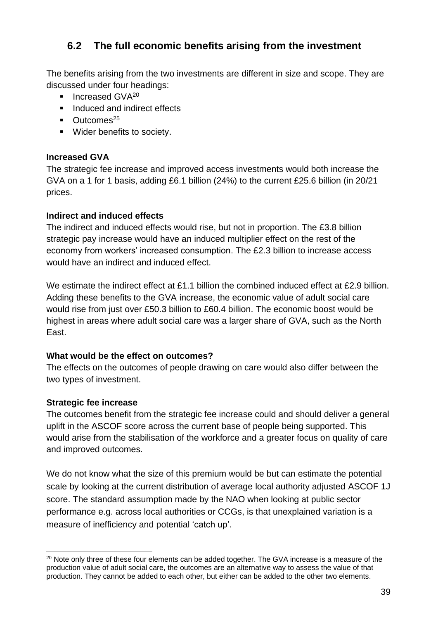### <span id="page-43-0"></span>**6.2 The full economic benefits arising from the investment**

The benefits arising from the two investments are different in size and scope. They are discussed under four headings:

- $\blacksquare$  Increased GVA $^{20}$
- Induced and indirect effects
- $\blacksquare$  Outcomes<sup>25</sup>
- Wider benefits to society.

#### **Increased GVA**

The strategic fee increase and improved access investments would both increase the GVA on a 1 for 1 basis, adding £6.1 billion (24%) to the current £25.6 billion (in 20/21 prices.

#### **Indirect and induced effects**

The indirect and induced effects would rise, but not in proportion. The £3.8 billion strategic pay increase would have an induced multiplier effect on the rest of the economy from workers' increased consumption. The £2.3 billion to increase access would have an indirect and induced effect.

We estimate the indirect effect at £1.1 billion the combined induced effect at £2.9 billion. Adding these benefits to the GVA increase, the economic value of adult social care would rise from just over £50.3 billion to £60.4 billion. The economic boost would be highest in areas where adult social care was a larger share of GVA, such as the North East.

#### **What would be the effect on outcomes?**

The effects on the outcomes of people drawing on care would also differ between the two types of investment.

#### **Strategic fee increase**

The outcomes benefit from the strategic fee increase could and should deliver a general uplift in the ASCOF score across the current base of people being supported. This would arise from the stabilisation of the workforce and a greater focus on quality of care and improved outcomes.

We do not know what the size of this premium would be but can estimate the potential scale by looking at the current distribution of average local authority adjusted ASCOF 1J score. The standard assumption made by the NAO when looking at public sector performance e.g. across local authorities or CCGs, is that unexplained variation is a measure of inefficiency and potential 'catch up'.

<sup>&</sup>lt;sup>20</sup> Note only three of these four elements can be added together. The GVA increase is a measure of the production value of adult social care, the outcomes are an alternative way to assess the value of that production. They cannot be added to each other, but either can be added to the other two elements.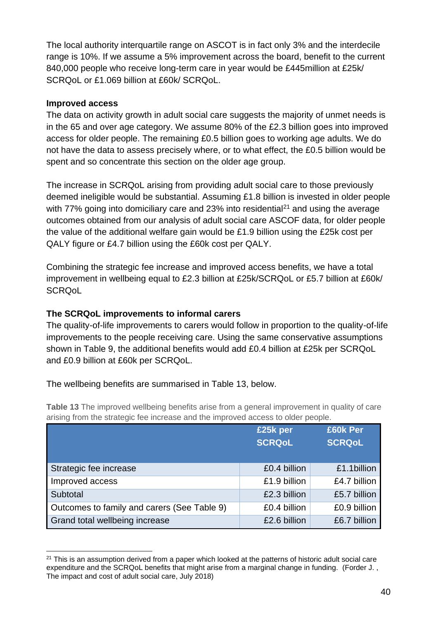The local authority interquartile range on ASCOT is in fact only 3% and the interdecile range is 10%. If we assume a 5% improvement across the board, benefit to the current 840,000 people who receive long-term care in year would be £445million at £25k/ SCROoL or £1.069 billion at £60k/ SCROoL.

#### **Improved access**

The data on activity growth in adult social care suggests the majority of unmet needs is in the 65 and over age category. We assume 80% of the £2.3 billion goes into improved access for older people. The remaining £0.5 billion goes to working age adults. We do not have the data to assess precisely where, or to what effect, the £0.5 billion would be spent and so concentrate this section on the older age group.

The increase in SCRQoL arising from providing adult social care to those previously deemed ineligible would be substantial. Assuming £1.8 billion is invested in older people with  $77\%$  going into domiciliary care and 23% into residential<sup>21</sup> and using the average outcomes obtained from our analysis of adult social care ASCOF data, for older people the value of the additional welfare gain would be £1.9 billion using the £25k cost per QALY figure or £4.7 billion using the £60k cost per QALY.

Combining the strategic fee increase and improved access benefits, we have a total improvement in wellbeing equal to £2.3 billion at £25k/SCRQoL or £5.7 billion at £60k/ **SCRQoL** 

### **The SCRQoL improvements to informal carers**

The quality-of-life improvements to carers would follow in proportion to the quality-of-life improvements to the people receiving care. Using the same conservative assumptions shown in Table 9, the additional benefits would add £0.4 billion at £25k per SCRQoL and £0.9 billion at £60k per SCRQoL.

The wellbeing benefits are summarised in Table 13, below.

**Table 13** The improved wellbeing benefits arise from a general improvement in quality of care arising from the strategic fee increase and the improved access to older people.

|                                             | £25k per      | £60k Per      |
|---------------------------------------------|---------------|---------------|
|                                             | <b>SCRQoL</b> | <b>SCRQoL</b> |
|                                             |               |               |
| Strategic fee increase                      | £0.4 billion  | £1.1billion   |
| Improved access                             | £1.9 billion  | £4.7 billion  |
| Subtotal                                    | £2.3 billion  | £5.7 billion  |
| Outcomes to family and carers (See Table 9) | £0.4 billion  | £0.9 billion  |
| Grand total wellbeing increase              | £2.6 billion  | £6.7 billion  |

<sup>&</sup>lt;sup>21</sup> This is an assumption derived from a paper which looked at the patterns of historic adult social care expenditure and the SCRQoL benefits that might arise from a marginal change in funding. (Forder J., The impact and cost of adult social care, July 2018)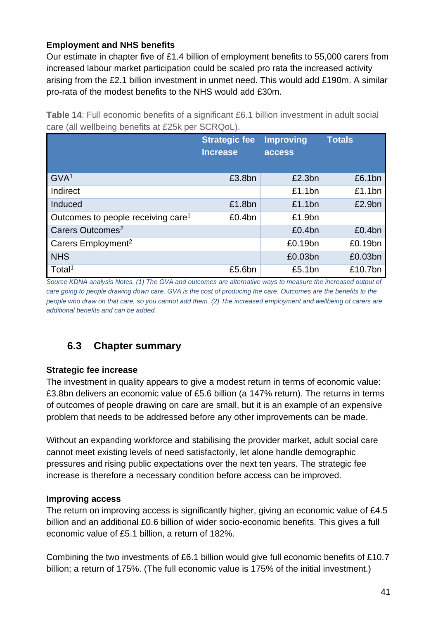### **Employment and NHS benefits**

Our estimate in chapter five of £1.4 billion of employment benefits to 55,000 carers from increased labour market participation could be scaled pro rata the increased activity arising from the £2.1 billion investment in unmet need. This would add £190m. A similar pro-rata of the modest benefits to the NHS would add £30m.

**Table 14**: Full economic benefits of a significant £6.1 billion investment in adult social care (all wellbeing benefits at £25k per SCRQoL).

|                                                | <b>Strategic fee</b><br><b>Increase</b> | <b>Improving</b><br>access | <b>Totals</b> |
|------------------------------------------------|-----------------------------------------|----------------------------|---------------|
| GVA <sup>1</sup>                               | £3.8bn                                  | £2.3bn                     | £6.1bn        |
| Indirect                                       |                                         | £1.1bn                     | £1.1bn        |
| Induced                                        | £1.8bn                                  | £1.1bn                     | £2.9bn        |
| Outcomes to people receiving care <sup>1</sup> | £0.4bn                                  | £1.9bn                     |               |
| Carers Outcomes <sup>2</sup>                   |                                         | £0.4bn                     | £0.4bn        |
| Carers Employment <sup>2</sup>                 |                                         | £0.19bn                    | £0.19bn       |
| <b>NHS</b>                                     |                                         | £0.03bn                    | £0.03bn       |
| Total <sup>1</sup>                             | £5.6bn                                  | £5.1bn                     | £10.7bn       |

*Source KDNA analysis Notes, (1) The GVA and outcomes are alternative ways to measure the increased output of care going to people drawing down care. GVA is the cost of producing the care. Outcomes are the benefits to the people who draw on that care, so you cannot add them. (2) The increased employment and wellbeing of carers are additional benefits and can be added.*

### <span id="page-45-0"></span>**6.3 Chapter summary**

#### **Strategic fee increase**

The investment in quality appears to give a modest return in terms of economic value: £3.8bn delivers an economic value of £5.6 billion (a 147% return). The returns in terms of outcomes of people drawing on care are small, but it is an example of an expensive problem that needs to be addressed before any other improvements can be made.

Without an expanding workforce and stabilising the provider market, adult social care cannot meet existing levels of need satisfactorily, let alone handle demographic pressures and rising public expectations over the next ten years. The strategic fee increase is therefore a necessary condition before access can be improved.

#### **Improving access**

The return on improving access is significantly higher, giving an economic value of £4.5 billion and an additional £0.6 billion of wider socio-economic benefits. This gives a full economic value of £5.1 billion, a return of 182%.

Combining the two investments of £6.1 billion would give full economic benefits of £10.7 billion; a return of 175%. (The full economic value is 175% of the initial investment.)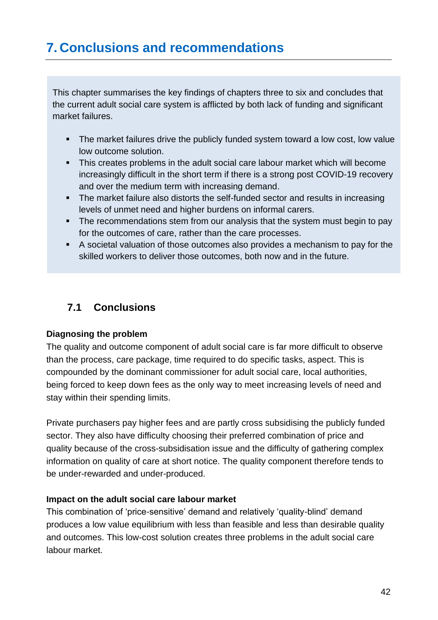<span id="page-46-0"></span>This chapter summarises the key findings of chapters three to six and concludes that the current adult social care system is afflicted by both lack of funding and significant market failures.

- **EXT** The market failures drive the publicly funded system toward a low cost, low value low outcome solution.
- **.** This creates problems in the adult social care labour market which will become increasingly difficult in the short term if there is a strong post COVID-19 recovery and over the medium term with increasing demand.
- The market failure also distorts the self-funded sector and results in increasing levels of unmet need and higher burdens on informal carers.
- The recommendations stem from our analysis that the system must begin to pay for the outcomes of care, rather than the care processes.
- A societal valuation of those outcomes also provides a mechanism to pay for the skilled workers to deliver those outcomes, both now and in the future.

### <span id="page-46-1"></span>**7.1 Conclusions**

### **Diagnosing the problem**

The quality and outcome component of adult social care is far more difficult to observe than the process, care package, time required to do specific tasks, aspect. This is compounded by the dominant commissioner for adult social care, local authorities, being forced to keep down fees as the only way to meet increasing levels of need and stay within their spending limits.

Private purchasers pay higher fees and are partly cross subsidising the publicly funded sector. They also have difficulty choosing their preferred combination of price and quality because of the cross-subsidisation issue and the difficulty of gathering complex information on quality of care at short notice. The quality component therefore tends to be under-rewarded and under-produced.

### **Impact on the adult social care labour market**

This combination of 'price-sensitive' demand and relatively 'quality-blind' demand produces a low value equilibrium with less than feasible and less than desirable quality and outcomes. This low-cost solution creates three problems in the adult social care labour market.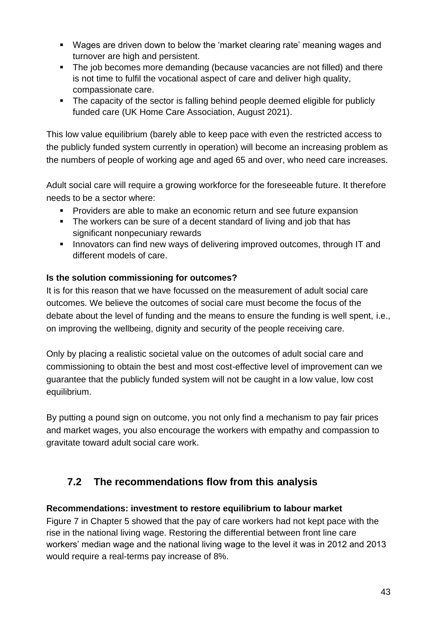- Wages are driven down to below the 'market clearing rate' meaning wages and turnover are high and persistent.
- The job becomes more demanding (because vacancies are not filled) and there is not time to fulfil the vocational aspect of care and deliver high quality, compassionate care.
- The capacity of the sector is falling behind people deemed eligible for publicly funded care (UK Home Care Association, August 2021).

This low value equilibrium (barely able to keep pace with even the restricted access to the publicly funded system currently in operation) will become an increasing problem as the numbers of people of working age and aged 65 and over, who need care increases.

Adult social care will require a growing workforce for the foreseeable future. It therefore needs to be a sector where:

- Providers are able to make an economic return and see future expansion
- The workers can be sure of a decent standard of living and job that has significant nonpecuniary rewards
- **EXEDENT** Innovators can find new ways of delivering improved outcomes, through IT and different models of care.

### **Is the solution commissioning for outcomes?**

It is for this reason that we have focussed on the measurement of adult social care outcomes. We believe the outcomes of social care must become the focus of the debate about the level of funding and the means to ensure the funding is well spent, i.e., on improving the wellbeing, dignity and security of the people receiving care.

Only by placing a realistic societal value on the outcomes of adult social care and commissioning to obtain the best and most cost-effective level of improvement can we guarantee that the publicly funded system will not be caught in a low value, low cost equilibrium.

By putting a pound sign on outcome, you not only find a mechanism to pay fair prices and market wages, you also encourage the workers with empathy and compassion to gravitate toward adult social care work.

### <span id="page-47-0"></span>**7.2 The recommendations flow from this analysis**

### **Recommendations: investment to restore equilibrium to labour market**

Figure 7 in Chapter 5 showed that the pay of care workers had not kept pace with the rise in the national living wage. Restoring the differential between front line care workers' median wage and the national living wage to the level it was in 2012 and 2013 would require a real-terms pay increase of 8%.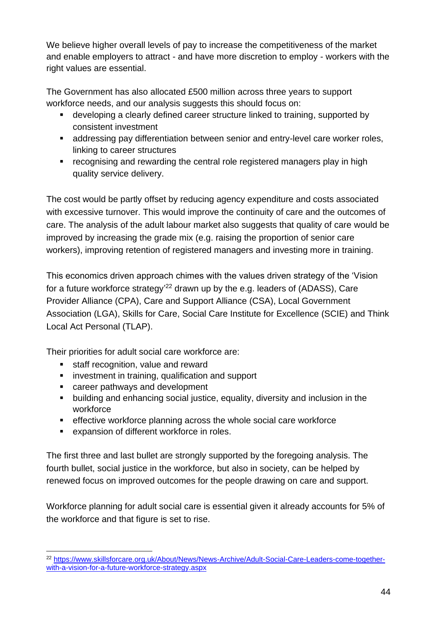We believe higher overall levels of pay to increase the competitiveness of the market and enable employers to attract - and have more discretion to employ - workers with the right values are essential.

The Government has also allocated £500 million across three years to support workforce needs, and our analysis suggests this should focus on:

- developing a clearly defined career structure linked to training, supported by consistent investment
- addressing pay differentiation between senior and entry-level care worker roles, linking to career structures
- **EXP** recognising and rewarding the central role registered managers play in high quality service delivery.

The cost would be partly offset by reducing agency expenditure and costs associated with excessive turnover. This would improve the continuity of care and the outcomes of care. The analysis of the adult labour market also suggests that quality of care would be improved by increasing the grade mix (e.g. raising the proportion of senior care workers), improving retention of registered managers and investing more in training.

This economics driven approach chimes with the values driven strategy of the 'Vision for a future workforce strategy<sup>'22</sup> drawn up by the e.g. leaders of (ADASS), Care Provider Alliance (CPA), Care and Support Alliance (CSA), Local Government Association (LGA), Skills for Care, Social Care Institute for Excellence (SCIE) and Think Local Act Personal (TLAP).

Their priorities for adult social care workforce are:

- staff recognition, value and reward
- investment in training, qualification and support
- career pathways and development
- building and enhancing social justice, equality, diversity and inclusion in the workforce
- **EXE** effective workforce planning across the whole social care workforce
- expansion of different workforce in roles.

The first three and last bullet are strongly supported by the foregoing analysis. The fourth bullet, social justice in the workforce, but also in society, can be helped by renewed focus on improved outcomes for the people drawing on care and support.

Workforce planning for adult social care is essential given it already accounts for 5% of the workforce and that figure is set to rise.

<sup>22</sup> [https://www.skillsforcare.org.uk/About/News/News-Archive/Adult-Social-Care-Leaders-come-together](https://www.skillsforcare.org.uk/About/News/News-Archive/Adult-Social-Care-Leaders-come-together-with-a-vision-for-a-future-workforce-strategy.aspx)[with-a-vision-for-a-future-workforce-strategy.aspx](https://www.skillsforcare.org.uk/About/News/News-Archive/Adult-Social-Care-Leaders-come-together-with-a-vision-for-a-future-workforce-strategy.aspx)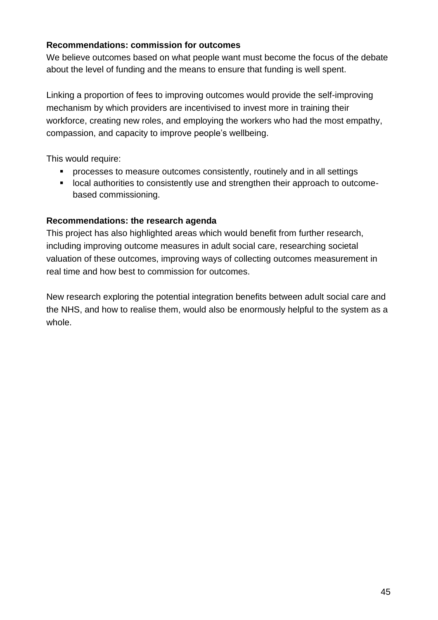#### **Recommendations: commission for outcomes**

We believe outcomes based on what people want must become the focus of the debate about the level of funding and the means to ensure that funding is well spent.

Linking a proportion of fees to improving outcomes would provide the self-improving mechanism by which providers are incentivised to invest more in training their workforce, creating new roles, and employing the workers who had the most empathy, compassion, and capacity to improve people's wellbeing.

This would require:

- processes to measure outcomes consistently, routinely and in all settings
- local authorities to consistently use and strengthen their approach to outcomebased commissioning.

### **Recommendations: the research agenda**

This project has also highlighted areas which would benefit from further research, including improving outcome measures in adult social care, researching societal valuation of these outcomes, improving ways of collecting outcomes measurement in real time and how best to commission for outcomes.

New research exploring the potential integration benefits between adult social care and the NHS, and how to realise them, would also be enormously helpful to the system as a whole.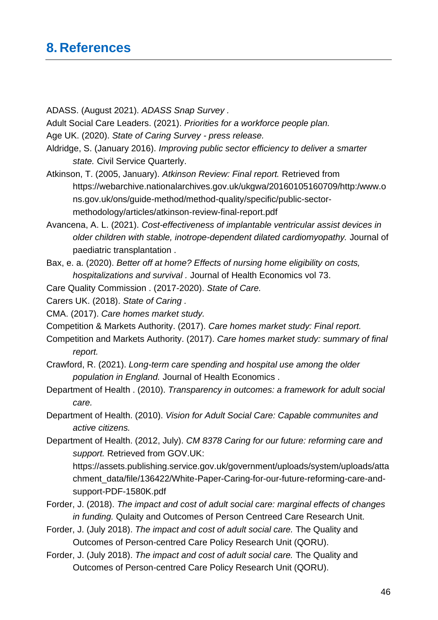### <span id="page-50-0"></span>**8. References**

ADASS. (August 2021). *ADASS Snap Survey .*

Adult Social Care Leaders. (2021). *Priorities for a workforce people plan.*

Age UK. (2020). *State of Caring Survey - press release.*

- Aldridge, S. (January 2016). *Improving public sector efficiency to deliver a smarter state.* Civil Service Quarterly.
- Atkinson, T. (2005, January). *Atkinson Review: Final report.* Retrieved from https://webarchive.nationalarchives.gov.uk/ukgwa/20160105160709/http:/www.o ns.gov.uk/ons/guide-method/method-quality/specific/public-sectormethodology/articles/atkinson-review-final-report.pdf
- Avancena, A. L. (2021). *Cost-effectiveness of implantable ventricular assist devices in older children with stable, inotrope-dependent dilated cardiomyopathy.* Journal of paediatric transplantation .
- Bax, e. a. (2020). *Better off at home? Effects of nursing home eligibility on costs, hospitalizations and survival .* Journal of Health Economics vol 73.

Care Quality Commission . (2017-2020). *State of Care.*

Carers UK. (2018). *State of Caring .*

CMA. (2017). *Care homes market study.*

Competition & Markets Authority. (2017). *Care homes market study: Final report.*

Competition and Markets Authority. (2017). *Care homes market study: summary of final report.*

Crawford, R. (2021). *Long-term care spending and hospital use among the older population in England.* Journal of Health Economics .

- Department of Health . (2010). *Transparency in outcomes: a framework for adult social care.*
- Department of Health. (2010). *Vision for Adult Social Care: Capable communites and active citizens.*

Department of Health. (2012, July). *CM 8378 Caring for our future: reforming care and support.* Retrieved from GOV.UK:

https://assets.publishing.service.gov.uk/government/uploads/system/uploads/atta chment\_data/file/136422/White-Paper-Caring-for-our-future-reforming-care-andsupport-PDF-1580K.pdf

Forder, J. (2018). *The impact and cost of adult social care: marginal effects of changes in funding.* Qulaity and Outcomes of Person Centreed Care Research Unit.

Forder, J. (July 2018). *The impact and cost of adult social care.* The Quality and Outcomes of Person-centred Care Policy Research Unit (QORU).

Forder, J. (July 2018). *The impact and cost of adult social care.* The Quality and Outcomes of Person-centred Care Policy Research Unit (QORU).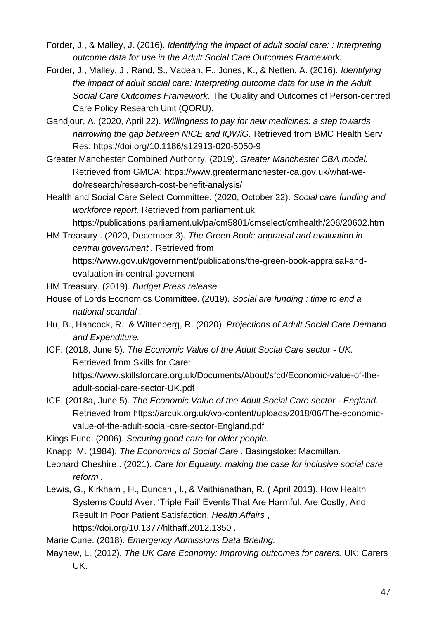- Forder, J., & Malley, J. (2016). *Identifying the impact of adult social care: : Interpreting outcome data for use in the Adult Social Care Outcomes Framework.*
- Forder, J., Malley, J., Rand, S., Vadean, F., Jones, K., & Netten, A. (2016). *Identifying the impact of adult social care: Interpreting outcome data for use in the Adult Social Care Outcomes Framework.* The Quality and Outcomes of Person-centred Care Policy Research Unit (QORU).
- Gandjour, A. (2020, April 22). *Willingness to pay for new medicines: a step towards narrowing the gap between NICE and IQWiG.* Retrieved from BMC Health Serv Res: https://doi.org/10.1186/s12913-020-5050-9
- Greater Manchester Combined Authority. (2019). *Greater Manchester CBA model.* Retrieved from GMCA: https://www.greatermanchester-ca.gov.uk/what-wedo/research/research-cost-benefit-analysis/
- Health and Social Care Select Committee. (2020, October 22). *Social care funding and workforce report.* Retrieved from parliament.uk:

https://publications.parliament.uk/pa/cm5801/cmselect/cmhealth/206/20602.htm

HM Treasury . (2020, December 3). *The Green Book: appraisal and evaluation in central government .* Retrieved from https://www.gov.uk/government/publications/the-green-book-appraisal-andevaluation-in-central-governent

HM Treasury. (2019). *Budget Press release.*

- House of Lords Economics Committee. (2019). *Social are funding : time to end a national scandal .*
- Hu, B., Hancock, R., & Wittenberg, R. (2020). *Projections of Adult Social Care Demand and Expenditure.*
- ICF. (2018, June 5). *The Economic Value of the Adult Social Care sector - UK.* Retrieved from Skills for Care: https://www.skillsforcare.org.uk/Documents/About/sfcd/Economic-value-of-theadult-social-care-sector-UK.pdf
- ICF. (2018a, June 5). *The Economic Value of the Adult Social Care sector - England.* Retrieved from https://arcuk.org.uk/wp-content/uploads/2018/06/The-economicvalue-of-the-adult-social-care-sector-England.pdf

Kings Fund. (2006). *Securing good care for older people.*

- Knapp, M. (1984). *The Economics of Social Care .* Basingstoke: Macmillan.
- Leonard Cheshire . (2021). *Care for Equality: making the case for inclusive social care reform .*
- Lewis, G., Kirkham , H., Duncan , I., & Vaithianathan, R. ( April 2013). How Health Systems Could Avert 'Triple Fail' Events That Are Harmful, Are Costly, And Result In Poor Patient Satisfaction. *Health Affairs* , https://doi.org/10.1377/hlthaff.2012.1350 .

Marie Curie. (2018). *Emergency Admissions Data Brieifng.*

Mayhew, L. (2012). *The UK Care Economy: Improving outcomes for carers.* UK: Carers UK.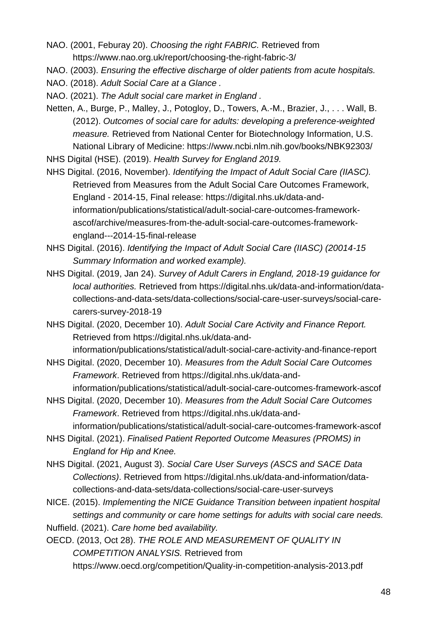- NAO. (2001, Feburay 20). *Choosing the right FABRIC.* Retrieved from https://www.nao.org.uk/report/choosing-the-right-fabric-3/
- NAO. (2003). *Ensuring the effective discharge of older patients from acute hospitals.*
- NAO. (2018). *Adult Social Care at a Glance .*
- NAO. (2021). *The Adult social care market in England .*
- Netten, A., Burge, P., Malley, J., Potogloy, D., Towers, A.-M., Brazier, J., . . . Wall, B. (2012). *Outcomes of social care for adults: developing a preference-weighted measure.* Retrieved from National Center for Biotechnology Information, U.S. National Library of Medicine: https://www.ncbi.nlm.nih.gov/books/NBK92303/

NHS Digital (HSE). (2019). *Health Survey for England 2019.*

NHS Digital. (2016, November). *Identifying the Impact of Adult Social Care (IIASC).* Retrieved from Measures from the Adult Social Care Outcomes Framework, England - 2014-15, Final release: https://digital.nhs.uk/data-andinformation/publications/statistical/adult-social-care-outcomes-frameworkascof/archive/measures-from-the-adult-social-care-outcomes-frameworkengland---2014-15-final-release

- NHS Digital. (2016). *Identifying the Impact of Adult Social Care (IIASC) (20014-15 Summary Information and worked example).*
- NHS Digital. (2019, Jan 24). *Survey of Adult Carers in England, 2018-19 guidance for local authorities.* Retrieved from https://digital.nhs.uk/data-and-information/datacollections-and-data-sets/data-collections/social-care-user-surveys/social-carecarers-survey-2018-19
- NHS Digital. (2020, December 10). *Adult Social Care Activity and Finance Report.* Retrieved from https://digital.nhs.uk/data-andinformation/publications/statistical/adult-social-care-activity-and-finance-report
- NHS Digital. (2020, December 10). *Measures from the Adult Social Care Outcomes Framework*. Retrieved from https://digital.nhs.uk/data-andinformation/publications/statistical/adult-social-care-outcomes-framework-ascof
- NHS Digital. (2020, December 10). *Measures from the Adult Social Care Outcomes Framework*. Retrieved from https://digital.nhs.uk/data-and-

information/publications/statistical/adult-social-care-outcomes-framework-ascof

- NHS Digital. (2021). *Finalised Patient Reported Outcome Measures (PROMS) in England for Hip and Knee.*
- NHS Digital. (2021, August 3). *Social Care User Surveys (ASCS and SACE Data Collections)*. Retrieved from https://digital.nhs.uk/data-and-information/datacollections-and-data-sets/data-collections/social-care-user-surveys
- NICE. (2015). *Implementing the NICE Guidance Transition between inpatient hospital settings and community or care home settings for adults with social care needs.* Nuffield. (2021). *Care home bed availability.*

OECD. (2013, Oct 28). *THE ROLE AND MEASUREMENT OF QUALITY IN COMPETITION ANALYSIS.* Retrieved from https://www.oecd.org/competition/Quality-in-competition-analysis-2013.pdf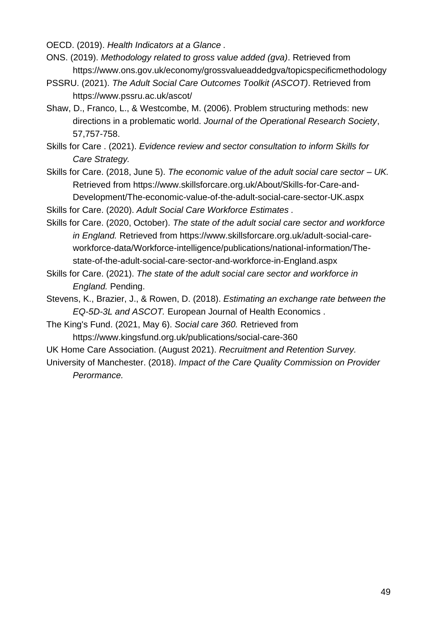OECD. (2019). *Health Indicators at a Glance .*

- ONS. (2019). *Methodology related to gross value added (gva)*. Retrieved from https://www.ons.gov.uk/economy/grossvalueaddedgva/topicspecificmethodology
- PSSRU. (2021). *The Adult Social Care Outcomes Toolkit (ASCOT)*. Retrieved from https://www.pssru.ac.uk/ascot/
- Shaw, D., Franco, L., & Westcombe, M. (2006). Problem structuring methods: new directions in a problematic world. *Journal of the Operational Research Society*, 57,757-758.
- Skills for Care . (2021). *Evidence review and sector consultation to inform Skills for Care Strategy.*
- Skills for Care. (2018, June 5). *The economic value of the adult social care sector – UK.* Retrieved from https://www.skillsforcare.org.uk/About/Skills-for-Care-and-Development/The-economic-value-of-the-adult-social-care-sector-UK.aspx

Skills for Care. (2020). *Adult Social Care Workforce Estimates .*

- Skills for Care. (2020, October). *The state of the adult social care sector and workforce in England.* Retrieved from https://www.skillsforcare.org.uk/adult-social-careworkforce-data/Workforce-intelligence/publications/national-information/Thestate-of-the-adult-social-care-sector-and-workforce-in-England.aspx
- Skills for Care. (2021). *The state of the adult social care sector and workforce in England.* Pending.
- Stevens, K., Brazier, J., & Rowen, D. (2018). *Estimating an exchange rate between the EQ-5D-3L and ASCOT.* European Journal of Health Economics .
- The King's Fund. (2021, May 6). *Social care 360.* Retrieved from https://www.kingsfund.org.uk/publications/social-care-360
- UK Home Care Association. (August 2021). *Recruitment and Retention Survey.*
- University of Manchester. (2018). *Impact of the Care Quality Commission on Provider Perormance.*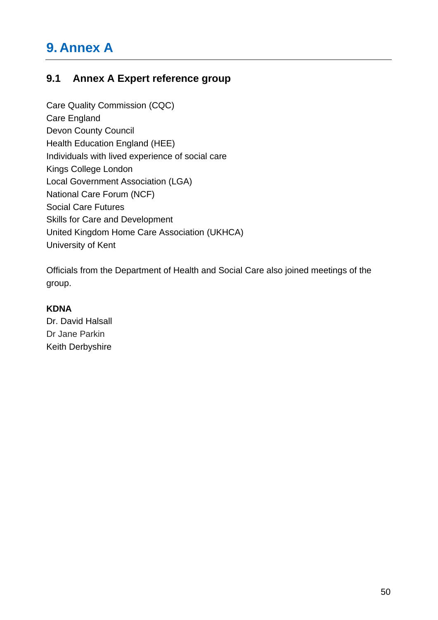## <span id="page-54-0"></span>**9. Annex A**

### **9.1 Annex A Expert reference group**

Care Quality Commission (CQC) Care England Devon County Council Health Education England (HEE) Individuals with lived experience of social care Kings College London Local Government Association (LGA) National Care Forum (NCF) Social Care Futures Skills for Care and Development United Kingdom Home Care Association (UKHCA) University of Kent

Officials from the Department of Health and Social Care also joined meetings of the group.

#### **KDNA**

Dr. David Halsall Dr Jane Parkin Keith Derbyshire